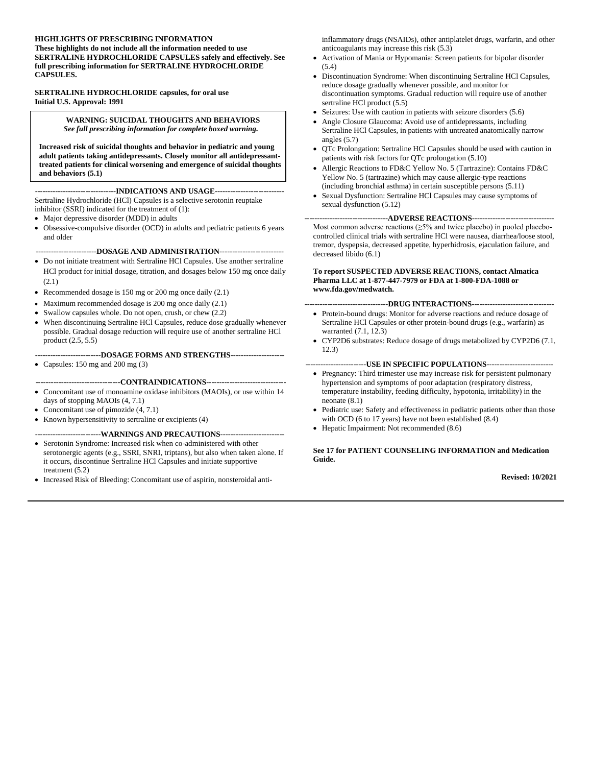#### **HIGHLIGHTS OF PRESCRIBING INFORMATION These highlights do not include all the information needed to use SERTRALINE HYDROCHLORIDE CAPSULES safely and effectively. See**

**full prescribing information for SERTRALINE HYDROCHLORIDE CAPSULES.**

#### **SERTRALINE HYDROCHLORIDE capsules, for oral use Initial U.S. Approval: 1991**

#### **WARNING: SUICIDAL THOUGHTS AND BEHAVIORS** *See full prescribing information for complete boxed warning.*

**Increased risk of suicidal thoughts and behavior in pediatric and young adult patients taking antidepressants. Closely monitor all antidepressanttreated patients for clinical worsening and emergence of suicidal thoughts and behaviors (5.1)**

#### **--------------------------------INDICATIONS AND USAGE---------------------------**

Sertraline Hydrochloride (HCl) Capsules is a selective serotonin reuptake inhibitor (SSRI) indicated for the treatment of (1):

- Major depressive disorder (MDD) in adults
- Obsessive-compulsive disorder (OCD) in adults and pediatric patients 6 years and older

#### **------------------------DOSAGE AND ADMINISTRATION-------------------------**

- Do not initiate treatment with Sertraline HCl Capsules. Use another sertraline HCl product for initial dosage, titration, and dosages below 150 mg once daily (2.1)
- Recommended dosage is 150 mg or 200 mg once daily (2.1)
- Maximum recommended dosage is 200 mg once daily (2.1)
- Swallow capsules whole. Do not open, crush, or chew  $(2.2)$
- When discontinuing Sertraline HCl Capsules, reduce dose gradually whenever possible. Gradual dosage reduction will require use of another sertraline HCl product (2.5, 5.5)

#### **--------------------------DOSAGE FORMS AND STRENGTHS---------------------**

• Capsules: 150 mg and 200 mg (3)

#### **---------------------------------CONTRAINDICATIONS-------------------------------**

- Concomitant use of monoamine oxidase inhibitors (MAOIs), or use within 14 days of stopping MAOIs (4, 7.1)
- Concomitant use of pimozide (4, 7.1)
- Known hypersensitivity to sertraline or excipients (4)

#### **--------------------------WARNINGS AND PRECAUTIONS-------------------------**

- Serotonin Syndrome: Increased risk when co-administered with other serotonergic agents (e.g., SSRI, SNRI, triptans), but also when taken alone. If it occurs, discontinue Sertraline HCl Capsules and initiate supportive treatment (5.2)
- Increased Risk of Bleeding: Concomitant use of aspirin, nonsteroidal anti-

inflammatory drugs (NSAIDs), other antiplatelet drugs, warfarin, and other anticoagulants may increase this risk (5.3)

- Activation of Mania or Hypomania: Screen patients for bipolar disorder (5.4)
- Discontinuation Syndrome: When discontinuing Sertraline HCl Capsules, reduce dosage gradually whenever possible, and monitor for discontinuation symptoms. Gradual reduction will require use of another sertraline HCl product (5.5)
- Seizures: Use with caution in patients with seizure disorders (5.6)
- Angle Closure Glaucoma: Avoid use of antidepressants, including Sertraline HCl Capsules, in patients with untreated anatomically narrow angles (5.7)
- QTc Prolongation: Sertraline HCl Capsules should be used with caution in patients with risk factors for QTc prolongation (5.10)
- Allergic Reactions to FD&C Yellow No. 5 (Tartrazine): Contains FD&C Yellow No. 5 (tartrazine) which may cause allergic-type reactions (including bronchial asthma) in certain susceptible persons (5.11)
- Sexual Dysfunction: Sertraline HCl Capsules may cause symptoms of sexual dysfunction (5.12)

#### **---------------------------------ADVERSE REACTIONS--------------------------------**

Most common adverse reactions (≥5% and twice placebo) in pooled placebocontrolled clinical trials with sertraline HCl were nausea, diarrhea/loose stool, tremor, dyspepsia, decreased appetite, hyperhidrosis, ejaculation failure, and decreased libido (6.1)

#### **To report SUSPECTED ADVERSE REACTIONS, contact Almatica Pharma LLC at 1-877-447-7979 or FDA at 1-800-FDA-1088 or [www.fda.gov/medwatch.](http://www.fda.gov/medwatch)**

**---------------------------------DRUG INTERACTIONS--------------------------------**

- Protein-bound drugs: Monitor for adverse reactions and reduce dosage of Sertraline HCl Capsules or other protein-bound drugs (e.g., warfarin) as warranted (7.1, 12.3)
- CYP2D6 substrates: Reduce dosage of drugs metabolized by CYP2D6 (7.1, 12.3)

#### **------------------------USE IN SPECIFIC POPULATIONS--------------------------**

- Pregnancy: Third trimester use may increase risk for persistent pulmonary hypertension and symptoms of poor adaptation (respiratory distress, temperature instability, feeding difficulty, hypotonia, irritability) in the neonate (8.1)
- Pediatric use: Safety and effectiveness in pediatric patients other than those with OCD (6 to 17 years) have not been established (8.4)
- Hepatic Impairment: Not recommended  $(8.6)$

**See 17 for PATIENT COUNSELING INFORMATION and Medication Guide.**

**Revised: 10/2021**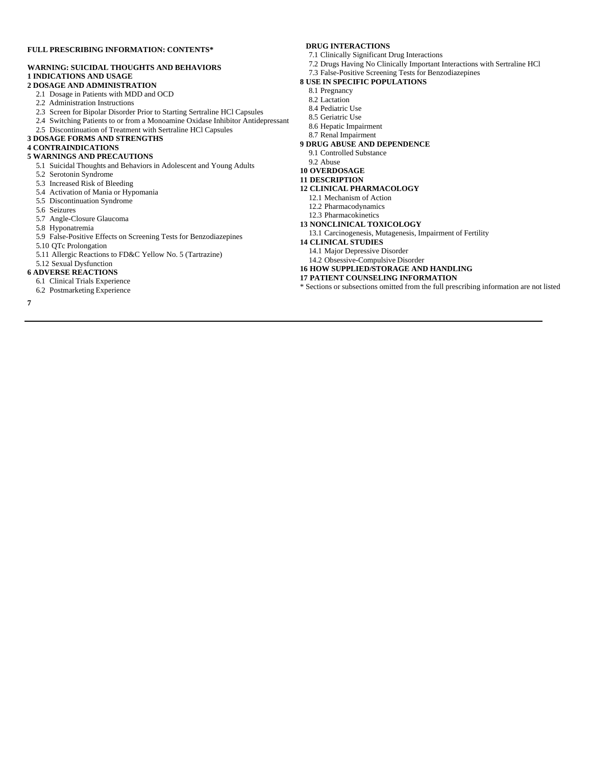#### **FULL PRESCRIBING INFORMATION: CONTENTS\***

#### **WARNING: SUICIDAL THOUGHTS AND BEHAVIORS 1 INDICATIONS AND USAGE**

- **2 DOSAGE AND ADMINISTRATION**
	- 2.1 Dosage in Patients with MDD and OCD
	- 2.2 Administration Instructions
	- 2.3 Screen for Bipolar Disorder Prior to Starting Sertraline HCl Capsules
	- 2.4 Switching Patients to or from a Monoamine Oxidase Inhibitor Antidepressant
- 2.5 Discontinuation of Treatment with Sertraline HCl Capsules
- **3 DOSAGE FORMS AND STRENGTHS**

#### **4 CONTRAINDICATIONS**

- **5 WARNINGS AND PRECAUTIONS**
	- 5.1 Suicidal Thoughts and Behaviors in Adolescent and Young Adults
	- 5.2 Serotonin Syndrome
	- 5.3 Increased Risk of Bleeding
	- 5.4 Activation of Mania or Hypomania
	- 5.5 Discontinuation Syndrome
	- 5.6 Seizures
	- 5.7 Angle-Closure Glaucoma
	- 5.8 Hyponatremia
	- 5.9 False-Positive Effects on Screening Tests for Benzodiazepines
	- 5.10 QTc Prolongation
	- 5.11 Allergic Reactions to FD&C Yellow No. 5 (Tartrazine)

#### 5.12 Sexual Dysfunction

- **6 ADVERSE REACTIONS**
- 6.1 Clinical Trials Experience
- 6.2 Postmarketing Experience
- **7**

#### **DRUG INTERACTIONS**

- 7.1 Clinically Significant Drug Interactions
- 7.2 Drugs Having No Clinically Important Interactions with Sertraline HCl
- 7.3 False-Positive Screening Tests for Benzodiazepines
- **8 USE IN SPECIFIC POPULATIONS**
	- 8.1 Pregnancy
	- 8.2 Lactation
	- 8.4 Pediatric Use
	- 8.5 Geriatric Use
- 8.6 Hepatic Impairment
- 8.7 Renal Impairment
- **9 DRUG ABUSE AND DEPENDENCE**
- 9.1 Controlled Substance
- 9.2 Abuse
- **10 OVERDOSAGE**
- **11 DESCRIPTION**
- **12 CLINICAL PHARMACOLOGY**
	- 12.1 Mechanism of Action
	- 12.2 Pharmacodynamics
	- 12.3 Pharmacokinetics
- **13 NONCLINICAL TOXICOLOGY**
- 13.1 Carcinogenesis, Mutagenesis, Impairment of Fertility
- **14 CLINICAL STUDIES**
- 14.1 Major Depressive Disorder

14.2 Obsessive-Compulsive Disorder

- **16 HOW SUPPLIED/STORAGE AND HANDLING**
- **17 PATIENT COUNSELING INFORMATION**
- \* Sections or subsections omitted from the full prescribing information are not listed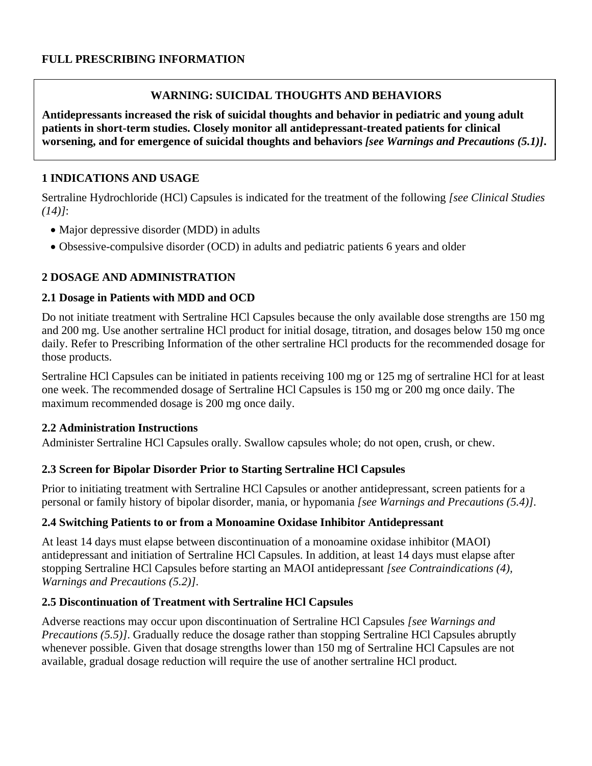# **WARNING: SUICIDAL THOUGHTS AND BEHAVIORS**

**Antidepressants increased the risk of suicidal thoughts and behavior in pediatric and young adult patients in short-term studies. Closely monitor all antidepressant-treated patients for clinical worsening, and for emergence of suicidal thoughts and behaviors** *[see Warnings and Precautions (5.1)]***.**

## **1 INDICATIONS AND USAGE**

Sertraline Hydrochloride (HCl) Capsules is indicated for the treatment of the following *[see Clinical Studies (14)]*:

- Major depressive disorder (MDD) in adults
- Obsessive-compulsive disorder (OCD) in adults and pediatric patients 6 years and older

# **2 DOSAGE AND ADMINISTRATION**

### **2.1 Dosage in Patients with MDD and OCD**

Do not initiate treatment with Sertraline HCl Capsules because the only available dose strengths are 150 mg and 200 mg. Use another sertraline HCl product for initial dosage, titration, and dosages below 150 mg once daily. Refer to Prescribing Information of the other sertraline HCl products for the recommended dosage for those products.

Sertraline HCl Capsules can be initiated in patients receiving 100 mg or 125 mg of sertraline HCl for at least one week. The recommended dosage of Sertraline HCl Capsules is 150 mg or 200 mg once daily. The maximum recommended dosage is 200 mg once daily.

### **2.2 Administration Instructions**

Administer Sertraline HCl Capsules orally. Swallow capsules whole; do not open, crush, or chew.

### **2.3 Screen for Bipolar Disorder Prior to Starting Sertraline HCl Capsules**

Prior to initiating treatment with Sertraline HCl Capsules or another antidepressant, screen patients for a personal or family history of bipolar disorder, mania, or hypomania *[see Warnings and Precautions (5.4)]*.

### **2.4 Switching Patients to or from a Monoamine Oxidase Inhibitor Antidepressant**

At least 14 days must elapse between discontinuation of a monoamine oxidase inhibitor (MAOI) antidepressant and initiation of Sertraline HCl Capsules. In addition, at least 14 days must elapse after stopping Sertraline HCl Capsules before starting an MAOI antidepressant *[see Contraindications (4), Warnings and Precautions (5.2)]*.

### **2.5 Discontinuation of Treatment with Sertraline HCl Capsules**

Adverse reactions may occur upon discontinuation of Sertraline HCl Capsules *[see Warnings and Precautions* (5.5)]. Gradually reduce the dosage rather than stopping Sertraline HCl Capsules abruptly whenever possible. Given that dosage strengths lower than 150 mg of Sertraline HCl Capsules are not available, gradual dosage reduction will require the use of another sertraline HCl product*.*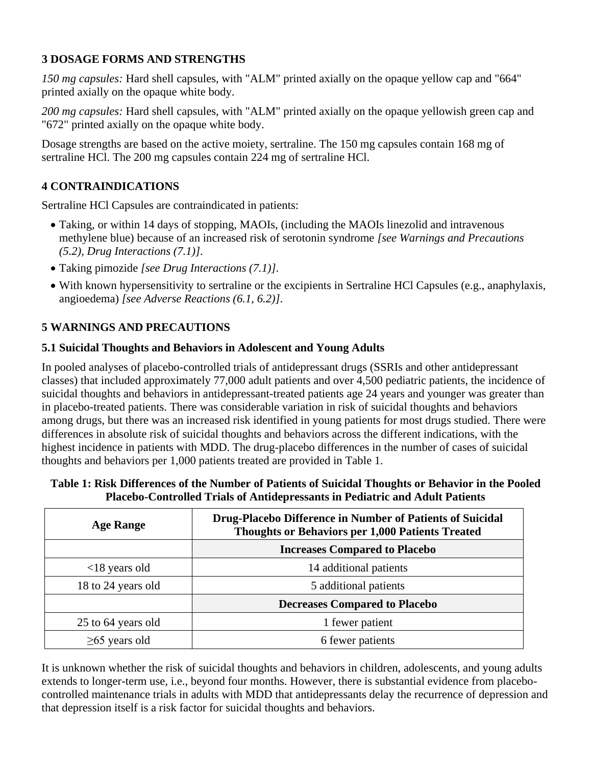# **3 DOSAGE FORMS AND STRENGTHS**

*150 mg capsules:* Hard shell capsules, with "ALM" printed axially on the opaque yellow cap and "664" printed axially on the opaque white body.

*200 mg capsules:* Hard shell capsules, with "ALM" printed axially on the opaque yellowish green cap and "672" printed axially on the opaque white body.

Dosage strengths are based on the active moiety, sertraline. The 150 mg capsules contain 168 mg of sertraline HCl. The 200 mg capsules contain 224 mg of sertraline HCl.

# **4 CONTRAINDICATIONS**

Sertraline HCl Capsules are contraindicated in patients:

- Taking, or within 14 days of stopping, MAOIs, (including the MAOIs linezolid and intravenous methylene blue) because of an increased risk of serotonin syndrome *[see Warnings and Precautions (5.2), Drug Interactions (7.1)]*.
- Taking pimozide *[see Drug Interactions (7.1)]*.
- With known hypersensitivity to sertraline or the excipients in Sertraline HCl Capsules (e.g., anaphylaxis, angioedema) *[see Adverse Reactions (6.1, 6.2)]*.

# **5 WARNINGS AND PRECAUTIONS**

## **5.1 Suicidal Thoughts and Behaviors in Adolescent and Young Adults**

In pooled analyses of placebo-controlled trials of antidepressant drugs (SSRIs and other antidepressant classes) that included approximately 77,000 adult patients and over 4,500 pediatric patients, the incidence of suicidal thoughts and behaviors in antidepressant-treated patients age 24 years and younger was greater than in placebo-treated patients. There was considerable variation in risk of suicidal thoughts and behaviors among drugs, but there was an increased risk identified in young patients for most drugs studied. There were differences in absolute risk of suicidal thoughts and behaviors across the different indications, with the highest incidence in patients with MDD. The drug-placebo differences in the number of cases of suicidal thoughts and behaviors per 1,000 patients treated are provided in Table 1.

| Table 1: Risk Differences of the Number of Patients of Suicidal Thoughts or Behavior in the Pooled |
|----------------------------------------------------------------------------------------------------|
| <b>Placebo-Controlled Trials of Antidepressants in Pediatric and Adult Patients</b>                |

| <b>Age Range</b>               | Drug-Placebo Difference in Number of Patients of Suicidal<br><b>Thoughts or Behaviors per 1,000 Patients Treated</b> |  |
|--------------------------------|----------------------------------------------------------------------------------------------------------------------|--|
|                                | <b>Increases Compared to Placebo</b>                                                                                 |  |
| $\langle 18 \rangle$ years old | 14 additional patients                                                                                               |  |
| 18 to 24 years old             | 5 additional patients                                                                                                |  |
|                                | <b>Decreases Compared to Placebo</b>                                                                                 |  |
| 25 to 64 years old             | 1 fewer patient                                                                                                      |  |
| $\geq 65$ years old            | 6 fewer patients                                                                                                     |  |

It is unknown whether the risk of suicidal thoughts and behaviors in children, adolescents, and young adults extends to longer-term use, i.e., beyond four months. However, there is substantial evidence from placebocontrolled maintenance trials in adults with MDD that antidepressants delay the recurrence of depression and that depression itself is a risk factor for suicidal thoughts and behaviors.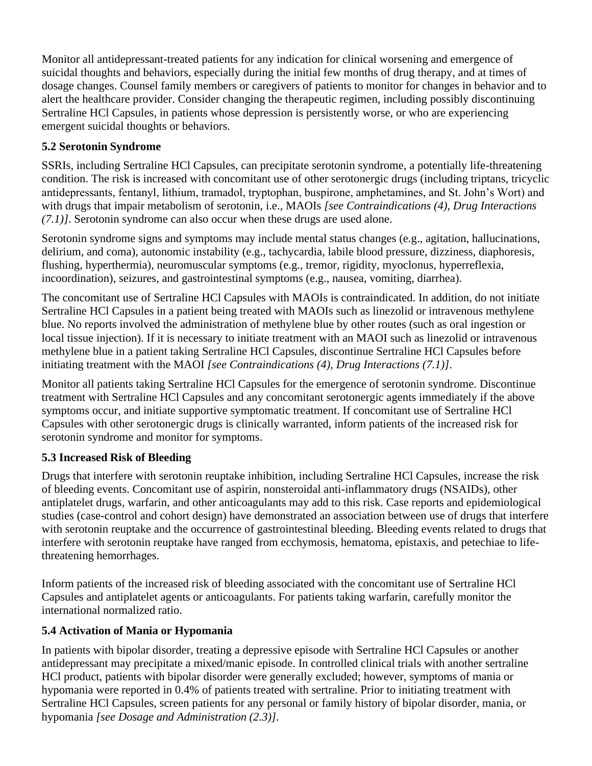Monitor all antidepressant-treated patients for any indication for clinical worsening and emergence of suicidal thoughts and behaviors, especially during the initial few months of drug therapy, and at times of dosage changes. Counsel family members or caregivers of patients to monitor for changes in behavior and to alert the healthcare provider. Consider changing the therapeutic regimen, including possibly discontinuing Sertraline HCl Capsules, in patients whose depression is persistently worse, or who are experiencing emergent suicidal thoughts or behaviors.

# **5.2 Serotonin Syndrome**

SSRIs, including Sertraline HCl Capsules, can precipitate serotonin syndrome, a potentially life-threatening condition. The risk is increased with concomitant use of other serotonergic drugs (including triptans, tricyclic antidepressants, fentanyl, lithium, tramadol, tryptophan, buspirone, amphetamines, and St. John's Wort) and with drugs that impair metabolism of serotonin, i.e., MAOIs *[see Contraindications (4), Drug Interactions (7.1)]*. Serotonin syndrome can also occur when these drugs are used alone.

Serotonin syndrome signs and symptoms may include mental status changes (e.g., agitation, hallucinations, delirium, and coma), autonomic instability (e.g., tachycardia, labile blood pressure, dizziness, diaphoresis, flushing, hyperthermia), neuromuscular symptoms (e.g., tremor, rigidity, myoclonus, hyperreflexia, incoordination), seizures, and gastrointestinal symptoms (e.g., nausea, vomiting, diarrhea).

The concomitant use of Sertraline HCl Capsules with MAOIs is contraindicated. In addition, do not initiate Sertraline HCl Capsules in a patient being treated with MAOIs such as linezolid or intravenous methylene blue. No reports involved the administration of methylene blue by other routes (such as oral ingestion or local tissue injection). If it is necessary to initiate treatment with an MAOI such as linezolid or intravenous methylene blue in a patient taking Sertraline HCl Capsules, discontinue Sertraline HCl Capsules before initiating treatment with the MAOI *[see Contraindications (4), Drug Interactions (7.1)]*.

Monitor all patients taking Sertraline HCl Capsules for the emergence of serotonin syndrome. Discontinue treatment with Sertraline HCl Capsules and any concomitant serotonergic agents immediately if the above symptoms occur, and initiate supportive symptomatic treatment. If concomitant use of Sertraline HCl Capsules with other serotonergic drugs is clinically warranted, inform patients of the increased risk for serotonin syndrome and monitor for symptoms.

# **5.3 Increased Risk of Bleeding**

Drugs that interfere with serotonin reuptake inhibition, including Sertraline HCl Capsules, increase the risk of bleeding events. Concomitant use of aspirin, nonsteroidal anti-inflammatory drugs (NSAIDs), other antiplatelet drugs, warfarin, and other anticoagulants may add to this risk. Case reports and epidemiological studies (case-control and cohort design) have demonstrated an association between use of drugs that interfere with serotonin reuptake and the occurrence of gastrointestinal bleeding. Bleeding events related to drugs that interfere with serotonin reuptake have ranged from ecchymosis, hematoma, epistaxis, and petechiae to lifethreatening hemorrhages.

Inform patients of the increased risk of bleeding associated with the concomitant use of Sertraline HCl Capsules and antiplatelet agents or anticoagulants. For patients taking warfarin, carefully monitor the international normalized ratio.

# **5.4 Activation of Mania or Hypomania**

In patients with bipolar disorder, treating a depressive episode with Sertraline HCl Capsules or another antidepressant may precipitate a mixed/manic episode. In controlled clinical trials with another sertraline HCl product, patients with bipolar disorder were generally excluded; however, symptoms of mania or hypomania were reported in 0.4% of patients treated with sertraline. Prior to initiating treatment with Sertraline HCl Capsules, screen patients for any personal or family history of bipolar disorder, mania, or hypomania *[see Dosage and Administration (2.3)]*.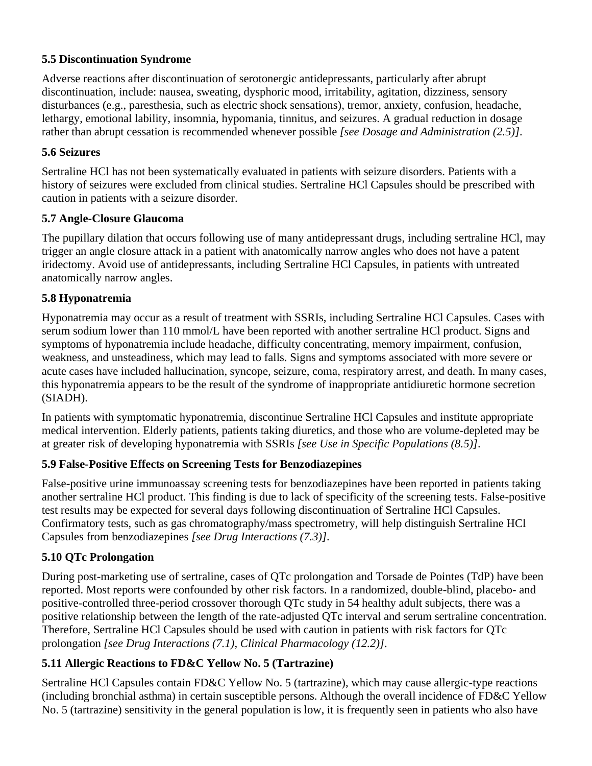## **5.5 Discontinuation Syndrome**

Adverse reactions after discontinuation of serotonergic antidepressants, particularly after abrupt discontinuation, include: nausea, sweating, dysphoric mood, irritability, agitation, dizziness, sensory disturbances (e.g., paresthesia, such as electric shock sensations), tremor, anxiety, confusion, headache, lethargy, emotional lability, insomnia, hypomania, tinnitus, and seizures. A gradual reduction in dosage rather than abrupt cessation is recommended whenever possible *[see Dosage and Administration (2.5)]*.

## **5.6 Seizures**

Sertraline HCl has not been systematically evaluated in patients with seizure disorders. Patients with a history of seizures were excluded from clinical studies. Sertraline HCl Capsules should be prescribed with caution in patients with a seizure disorder.

## **5.7 Angle-Closure Glaucoma**

The pupillary dilation that occurs following use of many antidepressant drugs, including sertraline HCl, may trigger an angle closure attack in a patient with anatomically narrow angles who does not have a patent iridectomy. Avoid use of antidepressants, including Sertraline HCl Capsules, in patients with untreated anatomically narrow angles.

## **5.8 Hyponatremia**

Hyponatremia may occur as a result of treatment with SSRIs, including Sertraline HCl Capsules. Cases with serum sodium lower than 110 mmol/L have been reported with another sertraline HCl product. Signs and symptoms of hyponatremia include headache, difficulty concentrating, memory impairment, confusion, weakness, and unsteadiness, which may lead to falls. Signs and symptoms associated with more severe or acute cases have included hallucination, syncope, seizure, coma, respiratory arrest, and death. In many cases, this hyponatremia appears to be the result of the syndrome of inappropriate antidiuretic hormone secretion (SIADH).

In patients with symptomatic hyponatremia, discontinue Sertraline HCl Capsules and institute appropriate medical intervention. Elderly patients, patients taking diuretics, and those who are volume-depleted may be at greater risk of developing hyponatremia with SSRIs *[see Use in Specific Populations (8.5)]*.

# **5.9 False-Positive Effects on Screening Tests for Benzodiazepines**

False-positive urine immunoassay screening tests for benzodiazepines have been reported in patients taking another sertraline HCl product. This finding is due to lack of specificity of the screening tests. False-positive test results may be expected for several days following discontinuation of Sertraline HCl Capsules. Confirmatory tests, such as gas chromatography/mass spectrometry, will help distinguish Sertraline HCl Capsules from benzodiazepines *[see Drug Interactions (7.3)]*.

# **5.10 QTc Prolongation**

During post-marketing use of sertraline, cases of QTc prolongation and Torsade de Pointes (TdP) have been reported. Most reports were confounded by other risk factors. In a randomized, double-blind, placebo- and positive-controlled three-period crossover thorough QTc study in 54 healthy adult subjects, there was a positive relationship between the length of the rate-adjusted QTc interval and serum sertraline concentration. Therefore, Sertraline HCl Capsules should be used with caution in patients with risk factors for QTc prolongation *[see Drug Interactions (7.1), Clinical Pharmacology (12.2)]*.

# **5.11 Allergic Reactions to FD&C Yellow No. 5 (Tartrazine)**

Sertraline HCl Capsules contain FD&C Yellow No. 5 (tartrazine), which may cause allergic-type reactions (including bronchial asthma) in certain susceptible persons. Although the overall incidence of FD&C Yellow No. 5 (tartrazine) sensitivity in the general population is low, it is frequently seen in patients who also have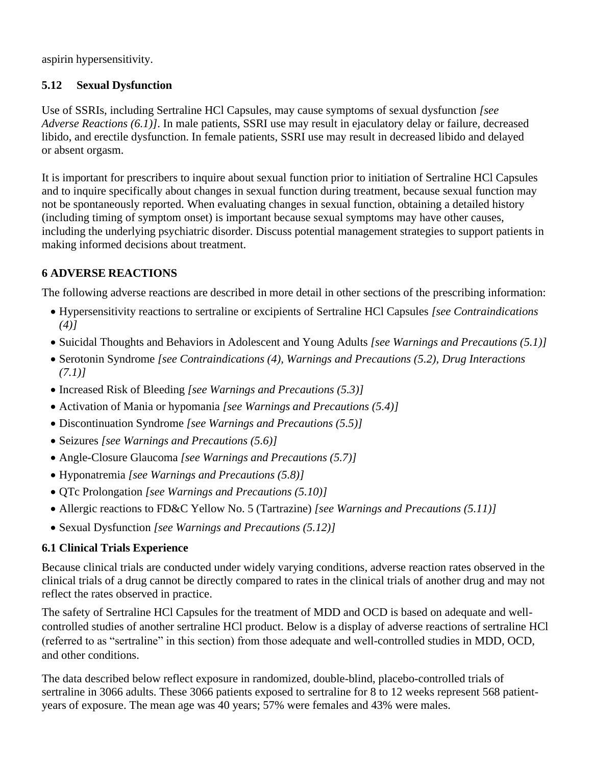aspirin hypersensitivity.

# **5.12 Sexual Dysfunction**

Use of SSRIs, including Sertraline HCl Capsules, may cause symptoms of sexual dysfunction *[see Adverse Reactions (6.1)]*. In male patients, SSRI use may result in ejaculatory delay or failure, decreased libido, and erectile dysfunction. In female patients, SSRI use may result in decreased libido and delayed or absent orgasm.

It is important for prescribers to inquire about sexual function prior to initiation of Sertraline HCl Capsules and to inquire specifically about changes in sexual function during treatment, because sexual function may not be spontaneously reported. When evaluating changes in sexual function, obtaining a detailed history (including timing of symptom onset) is important because sexual symptoms may have other causes, including the underlying psychiatric disorder. Discuss potential management strategies to support patients in making informed decisions about treatment.

# **6 ADVERSE REACTIONS**

The following adverse reactions are described in more detail in other sections of the prescribing information:

- Hypersensitivity reactions to sertraline or excipients of Sertraline HCl Capsules *[see Contraindications (4)]*
- Suicidal Thoughts and Behaviors in Adolescent and Young Adults *[see Warnings and Precautions (5.1)]*
- Serotonin Syndrome *[see Contraindications (4), Warnings and Precautions (5.2), Drug Interactions (7.1)]*
- Increased Risk of Bleeding *[see Warnings and Precautions (5.3)]*
- Activation of Mania or hypomania *[see Warnings and Precautions (5.4)]*
- Discontinuation Syndrome *[see Warnings and Precautions (5.5)]*
- Seizures *[see Warnings and Precautions (5.6)]*
- Angle-Closure Glaucoma *[see Warnings and Precautions (5.7)]*
- Hyponatremia *[see Warnings and Precautions (5.8)]*
- QTc Prolongation *[see Warnings and Precautions (5.10)]*
- Allergic reactions to FD&C Yellow No. 5 (Tartrazine) *[see Warnings and Precautions (5.11)]*
- Sexual Dysfunction *[see Warnings and Precautions (5.12)]*

# **6.1 Clinical Trials Experience**

Because clinical trials are conducted under widely varying conditions, adverse reaction rates observed in the clinical trials of a drug cannot be directly compared to rates in the clinical trials of another drug and may not reflect the rates observed in practice.

The safety of Sertraline HCl Capsules for the treatment of MDD and OCD is based on adequate and wellcontrolled studies of another sertraline HCl product. Below is a display of adverse reactions of sertraline HCl (referred to as "sertraline" in this section) from those adequate and well-controlled studies in MDD, OCD, and other conditions.

The data described below reflect exposure in randomized, double-blind, placebo-controlled trials of sertraline in 3066 adults. These 3066 patients exposed to sertraline for 8 to 12 weeks represent 568 patientyears of exposure. The mean age was 40 years; 57% were females and 43% were males.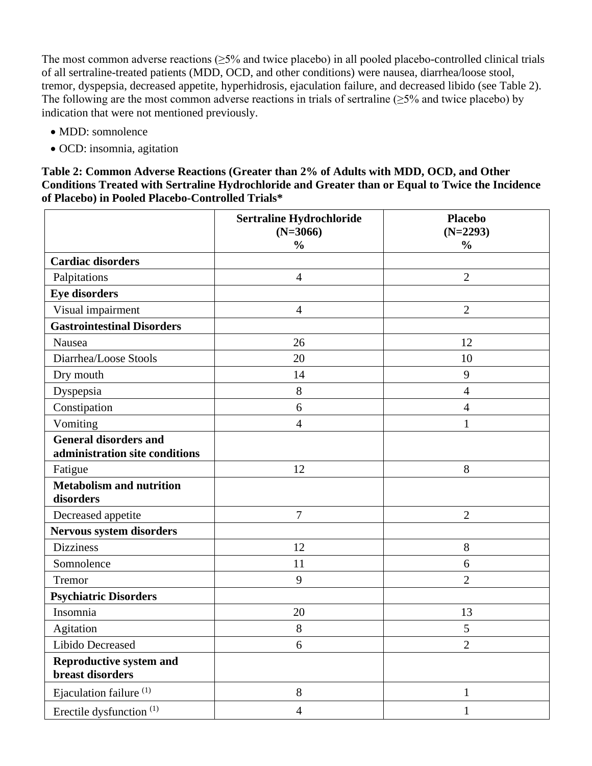The most common adverse reactions  $(\geq 5\%$  and twice placebo) in all pooled placebo-controlled clinical trials of all sertraline-treated patients (MDD, OCD, and other conditions) were nausea, diarrhea/loose stool, tremor, dyspepsia, decreased appetite, hyperhidrosis, ejaculation failure, and decreased libido (see Table 2). The following are the most common adverse reactions in trials of sertraline ( $\geq$ 5% and twice placebo) by indication that were not mentioned previously.

- MDD: somnolence
- OCD: insomnia, agitation

**Table 2: Common Adverse Reactions (Greater than 2% of Adults with MDD, OCD, and Other Conditions Treated with Sertraline Hydrochloride and Greater than or Equal to Twice the Incidence of Placebo) in Pooled Placebo-Controlled Trials\***

|                                                                | Sertraline Hydrochloride<br>$(N=3066)$<br>$\frac{0}{0}$ | <b>Placebo</b><br>$(N=2293)$<br>$\frac{0}{0}$ |
|----------------------------------------------------------------|---------------------------------------------------------|-----------------------------------------------|
| <b>Cardiac disorders</b>                                       |                                                         |                                               |
| Palpitations                                                   | $\overline{4}$                                          | $\overline{2}$                                |
| <b>Eye disorders</b>                                           |                                                         |                                               |
| Visual impairment                                              | $\overline{4}$                                          | $\overline{2}$                                |
| <b>Gastrointestinal Disorders</b>                              |                                                         |                                               |
| Nausea                                                         | 26                                                      | 12                                            |
| Diarrhea/Loose Stools                                          | 20                                                      | 10                                            |
| Dry mouth                                                      | 14                                                      | 9                                             |
| Dyspepsia                                                      | 8                                                       | $\overline{4}$                                |
| Constipation                                                   | 6                                                       | $\overline{4}$                                |
| Vomiting                                                       | $\overline{4}$                                          | $\mathbf{1}$                                  |
| <b>General disorders and</b><br>administration site conditions |                                                         |                                               |
| Fatigue                                                        | 12                                                      | 8                                             |
| <b>Metabolism and nutrition</b><br>disorders                   |                                                         |                                               |
| Decreased appetite                                             | $\overline{7}$                                          | $\overline{2}$                                |
| Nervous system disorders                                       |                                                         |                                               |
| <b>Dizziness</b>                                               | 12                                                      | 8                                             |
| Somnolence                                                     | 11                                                      | 6                                             |
| Tremor                                                         | 9                                                       | $\overline{2}$                                |
| <b>Psychiatric Disorders</b>                                   |                                                         |                                               |
| Insomnia                                                       | 20                                                      | 13                                            |
| Agitation                                                      | 8                                                       | 5                                             |
| Libido Decreased                                               | 6                                                       | $\overline{c}$                                |
| <b>Reproductive system and</b><br>breast disorders             |                                                         |                                               |
| Ejaculation failure <sup>(1)</sup>                             | 8                                                       | $\mathbf{1}$                                  |
| Erectile dysfunction <sup>(1)</sup>                            | $\overline{4}$                                          | $\mathbf{1}$                                  |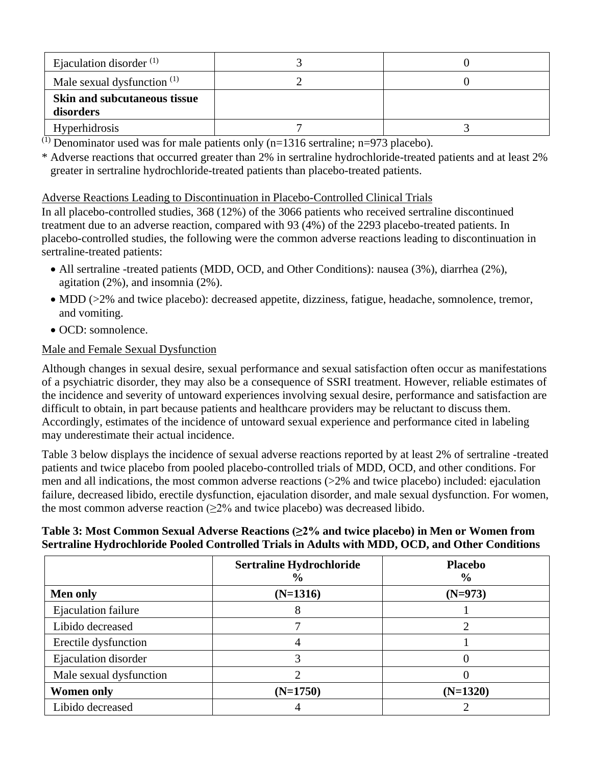| Ejaculation disorder $(1)$                       |  |
|--------------------------------------------------|--|
| Male sexual dysfunction $(1)$                    |  |
| <b>Skin and subcutaneous tissue</b><br>disorders |  |
| <b>Hyperhidrosis</b>                             |  |

<sup>(1)</sup> Denominator used was for male patients only  $(n=1316$  sertraline; n=973 placebo).

\* Adverse reactions that occurred greater than 2% in sertraline hydrochloride-treated patients and at least 2% greater in sertraline hydrochloride-treated patients than placebo-treated patients.

#### Adverse Reactions Leading to Discontinuation in Placebo-Controlled Clinical Trials

In all placebo-controlled studies, 368 (12%) of the 3066 patients who received sertraline discontinued treatment due to an adverse reaction, compared with 93 (4%) of the 2293 placebo-treated patients. In placebo-controlled studies, the following were the common adverse reactions leading to discontinuation in sertraline-treated patients:

- All sertraline -treated patients (MDD, OCD, and Other Conditions): nausea (3%), diarrhea (2%), agitation (2%), and insomnia (2%).
- MDD (>2% and twice placebo): decreased appetite, dizziness, fatigue, headache, somnolence, tremor, and vomiting.
- OCD: somnolence.

## Male and Female Sexual Dysfunction

Although changes in sexual desire, sexual performance and sexual satisfaction often occur as manifestations of a psychiatric disorder, they may also be a consequence of SSRI treatment. However, reliable estimates of the incidence and severity of untoward experiences involving sexual desire, performance and satisfaction are difficult to obtain, in part because patients and healthcare providers may be reluctant to discuss them. Accordingly, estimates of the incidence of untoward sexual experience and performance cited in labeling may underestimate their actual incidence.

Table 3 below displays the incidence of sexual adverse reactions reported by at least 2% of sertraline -treated patients and twice placebo from pooled placebo-controlled trials of MDD, OCD, and other conditions. For men and all indications, the most common adverse reactions (>2% and twice placebo) included: ejaculation failure, decreased libido, erectile dysfunction, ejaculation disorder, and male sexual dysfunction. For women, the most common adverse reaction  $(\geq 2\%$  and twice placebo) was decreased libido.

## **Table 3: Most Common Sexual Adverse Reactions (≥2% and twice placebo) in Men or Women from Sertraline Hydrochloride Pooled Controlled Trials in Adults with MDD, OCD, and Other Conditions**

|                         | <b>Sertraline Hydrochloride</b><br>$\frac{6}{9}$ | <b>Placebo</b><br>$\frac{6}{6}$ |
|-------------------------|--------------------------------------------------|---------------------------------|
| <b>Men only</b>         | $(N=1316)$                                       | $(N=973)$                       |
| Ejaculation failure     |                                                  |                                 |
| Libido decreased        |                                                  |                                 |
| Erectile dysfunction    |                                                  |                                 |
| Ejaculation disorder    |                                                  |                                 |
| Male sexual dysfunction |                                                  |                                 |
| <b>Women only</b>       | $(N=1750)$                                       | $(N=1320)$                      |
| Libido decreased        |                                                  |                                 |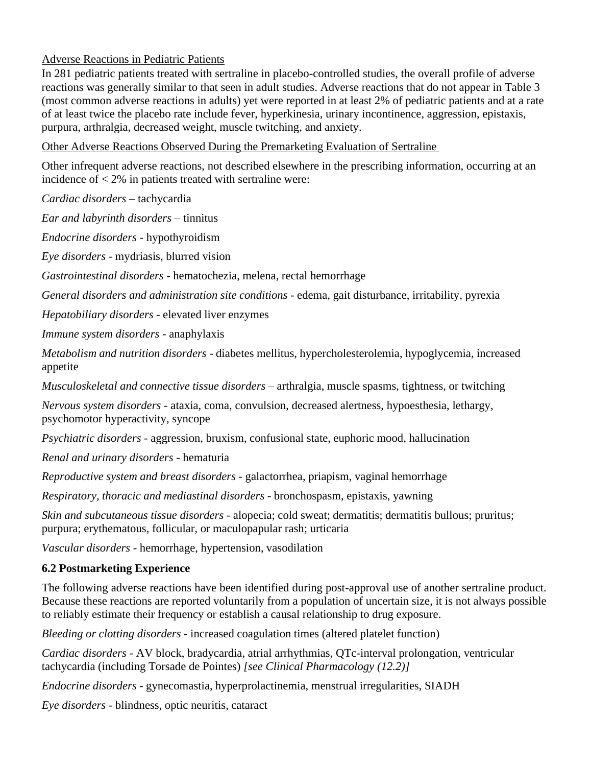## Adverse Reactions in Pediatric Patients

In 281 pediatric patients treated with sertraline in placebo-controlled studies, the overall profile of adverse reactions was generally similar to that seen in adult studies. Adverse reactions that do not appear in Table 3 (most common adverse reactions in adults) yet were reported in at least 2% of pediatric patients and at a rate of at least twice the placebo rate include fever, hyperkinesia, urinary incontinence, aggression, epistaxis, purpura, arthralgia, decreased weight, muscle twitching, and anxiety.

Other Adverse Reactions Observed During the Premarketing Evaluation of Sertraline

Other infrequent adverse reactions, not described elsewhere in the prescribing information, occurring at an incidence of  $\langle 2\%$  in patients treated with sertraline were:

*Cardiac disorders* – tachycardia

*Ear and labyrinth disorders* – tinnitus

*Endocrine disorders* - hypothyroidism

*Eye disorders* - mydriasis, blurred vision

*Gastrointestinal disorders* - hematochezia, melena, rectal hemorrhage

*General disorders and administration site conditions* - edema, gait disturbance, irritability, pyrexia

*Hepatobiliary disorders* - elevated liver enzymes

*Immune system disorders* - anaphylaxis

*Metabolism and nutrition disorders* - diabetes mellitus, hypercholesterolemia, hypoglycemia, increased appetite

*Musculoskeletal and connective tissue disorders* – arthralgia, muscle spasms, tightness, or twitching

*Nervous system disorders* - ataxia, coma, convulsion, decreased alertness, hypoesthesia, lethargy, psychomotor hyperactivity, syncope

*Psychiatric disorders* - aggression, bruxism, confusional state, euphoric mood, hallucination

*Renal and urinary disorders* - hematuria

*Reproductive system and breast disorders* - galactorrhea, priapism, vaginal hemorrhage

*Respiratory, thoracic and mediastinal disorders* - bronchospasm, epistaxis, yawning

*Skin and subcutaneous tissue disorders* - alopecia; cold sweat; dermatitis; dermatitis bullous; pruritus; purpura; erythematous, follicular, or maculopapular rash; urticaria

*Vascular disorders* - hemorrhage, hypertension, vasodilation

# **6.2 Postmarketing Experience**

The following adverse reactions have been identified during post-approval use of another sertraline product. Because these reactions are reported voluntarily from a population of uncertain size, it is not always possible to reliably estimate their frequency or establish a causal relationship to drug exposure.

*Bleeding or clotting disorders* - increased coagulation times (altered platelet function)

*Cardiac disorders* - AV block, bradycardia, atrial arrhythmias, QTc-interval prolongation, ventricular tachycardia (including Torsade de Pointes) *[see Clinical Pharmacology (12.2)]*

*Endocrine disorders* - gynecomastia, hyperprolactinemia, menstrual irregularities, SIADH

*Eye disorders* - blindness, optic neuritis, cataract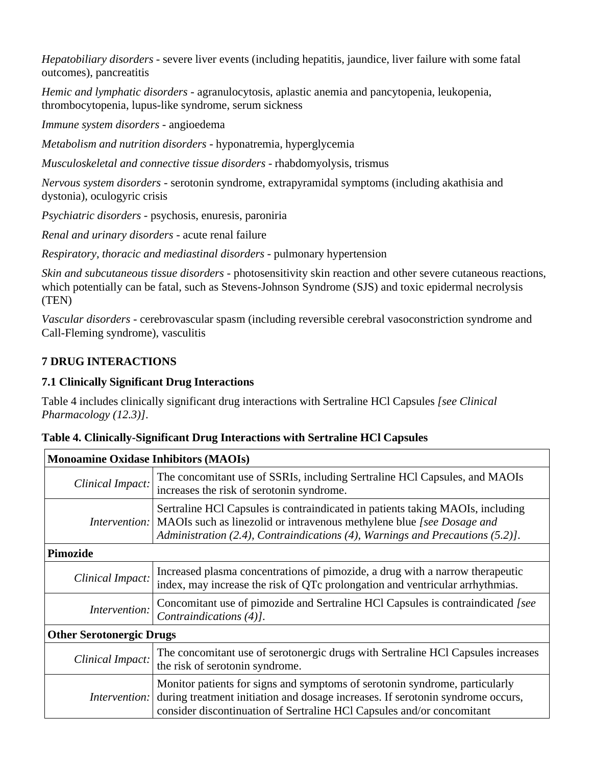*Hepatobiliary disorders* - severe liver events (including hepatitis, jaundice, liver failure with some fatal outcomes), pancreatitis

*Hemic and lymphatic disorders -* agranulocytosis, aplastic anemia and pancytopenia, leukopenia, thrombocytopenia, lupus-like syndrome, serum sickness

*Immune system disorders* - angioedema

*Metabolism and nutrition disorders -* hyponatremia, hyperglycemia

*Musculoskeletal and connective tissue disorders* - rhabdomyolysis, trismus

*Nervous system disorders* - serotonin syndrome, extrapyramidal symptoms (including akathisia and dystonia), oculogyric crisis

*Psychiatric disorders* - psychosis, enuresis, paroniria

*Renal and urinary disorders* - acute renal failure

*Respiratory, thoracic and mediastinal disorders* - pulmonary hypertension

*Skin and subcutaneous tissue disorders* - photosensitivity skin reaction and other severe cutaneous reactions, which potentially can be fatal, such as Stevens-Johnson Syndrome (SJS) and toxic epidermal necrolysis (TEN)

*Vascular disorders -* cerebrovascular spasm (including reversible cerebral vasoconstriction syndrome and Call-Fleming syndrome), vasculitis

# **7 DRUG INTERACTIONS**

## **7.1 Clinically Significant Drug Interactions**

Table 4 includes clinically significant drug interactions with Sertraline HCl Capsules *[see Clinical Pharmacology (12.3)]*.

| Lable 4. Clinically-Significant Drug Interactions with Sertraline HCI Capsules |                                                                                                                                                                                                                                                                      |  |
|--------------------------------------------------------------------------------|----------------------------------------------------------------------------------------------------------------------------------------------------------------------------------------------------------------------------------------------------------------------|--|
| <b>Monoamine Oxidase Inhibitors (MAOIs)</b>                                    |                                                                                                                                                                                                                                                                      |  |
| Clinical Impact:                                                               | The concomitant use of SSRIs, including Sertraline HCl Capsules, and MAOIs<br>increases the risk of serotonin syndrome.                                                                                                                                              |  |
|                                                                                | Sertraline HCl Capsules is contraindicated in patients taking MAOIs, including<br><i>Intervention:</i> MAOIs such as linezolid or intravenous methylene blue <i>[see Dosage and</i><br>Administration (2.4), Contraindications (4), Warnings and Precautions (5.2)]. |  |
| Pimozide                                                                       |                                                                                                                                                                                                                                                                      |  |
| Clinical Impact:                                                               | Increased plasma concentrations of pimozide, a drug with a narrow therapeutic<br>index, may increase the risk of QTc prolongation and ventricular arrhythmias.                                                                                                       |  |
| Intervention:                                                                  | Concomitant use of pimozide and Sertraline HCl Capsules is contraindicated [see<br>Contraindications (4)].                                                                                                                                                           |  |
| <b>Other Serotonergic Drugs</b>                                                |                                                                                                                                                                                                                                                                      |  |
| Clinical Impact:                                                               | The concomitant use of serotonergic drugs with Sertraline HCl Capsules increases<br>the risk of serotonin syndrome.                                                                                                                                                  |  |
|                                                                                | Monitor patients for signs and symptoms of serotonin syndrome, particularly<br><i>Intervention:</i> during treatment initiation and dosage increases. If serotonin syndrome occurs,                                                                                  |  |

|  |  |  |  | Table 4. Clinically-Significant Drug Interactions with Sertraline HCl Capsules |
|--|--|--|--|--------------------------------------------------------------------------------|
|--|--|--|--|--------------------------------------------------------------------------------|

| <i>Intervention:</i> during treatment initiation and dosage increases. If serotonin syndrome occ |
|--------------------------------------------------------------------------------------------------|
| consider discontinuation of Sertraline HCl Capsules and/or concomitant                           |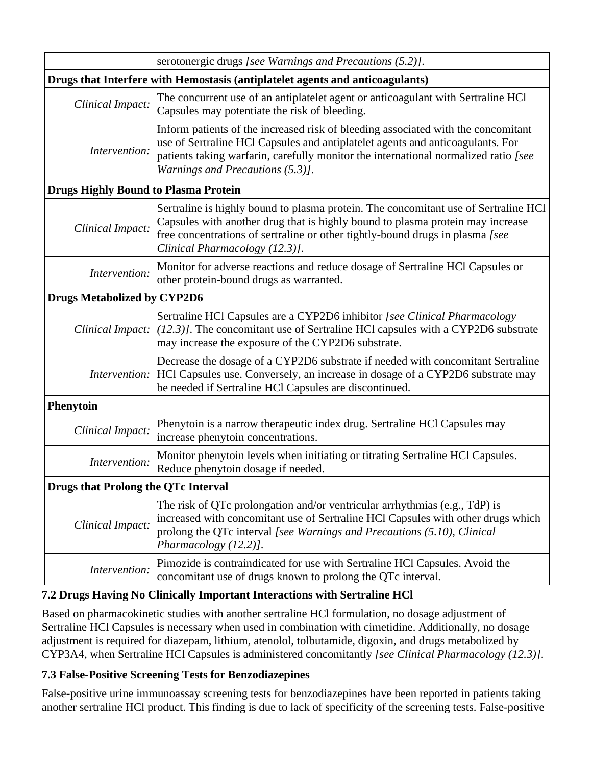|                                             | serotonergic drugs [see Warnings and Precautions (5.2)].                                                                                                                                                                                                                                       |  |
|---------------------------------------------|------------------------------------------------------------------------------------------------------------------------------------------------------------------------------------------------------------------------------------------------------------------------------------------------|--|
|                                             | Drugs that Interfere with Hemostasis (antiplatelet agents and anticoagulants)                                                                                                                                                                                                                  |  |
| Clinical Impact:                            | The concurrent use of an antiplatelet agent or anticoagulant with Sertraline HCl<br>Capsules may potentiate the risk of bleeding.                                                                                                                                                              |  |
| Intervention:                               | Inform patients of the increased risk of bleeding associated with the concomitant<br>use of Sertraline HCl Capsules and antiplatelet agents and anticoagulants. For<br>patients taking warfarin, carefully monitor the international normalized ratio [see<br>Warnings and Precautions (5.3)]. |  |
| <b>Drugs Highly Bound to Plasma Protein</b> |                                                                                                                                                                                                                                                                                                |  |
| Clinical Impact:                            | Sertraline is highly bound to plasma protein. The concomitant use of Sertraline HCl<br>Capsules with another drug that is highly bound to plasma protein may increase<br>free concentrations of sertraline or other tightly-bound drugs in plasma [see<br>Clinical Pharmacology (12.3)].       |  |
| Intervention:                               | Monitor for adverse reactions and reduce dosage of Sertraline HCl Capsules or<br>other protein-bound drugs as warranted.                                                                                                                                                                       |  |
| <b>Drugs Metabolized by CYP2D6</b>          |                                                                                                                                                                                                                                                                                                |  |
| Clinical Impact:                            | Sertraline HCl Capsules are a CYP2D6 inhibitor [see Clinical Pharmacology<br>$(12.3)$ ]. The concomitant use of Sertraline HCl capsules with a CYP2D6 substrate<br>may increase the exposure of the CYP2D6 substrate.                                                                          |  |
| <i>Intervention:</i>                        | Decrease the dosage of a CYP2D6 substrate if needed with concomitant Sertraline<br>HCl Capsules use. Conversely, an increase in dosage of a CYP2D6 substrate may<br>be needed if Sertraline HCl Capsules are discontinued.                                                                     |  |
| <b>Phenytoin</b>                            |                                                                                                                                                                                                                                                                                                |  |
| Clinical Impact:                            | Phenytoin is a narrow therapeutic index drug. Sertraline HCl Capsules may<br>increase phenytoin concentrations.                                                                                                                                                                                |  |
| Intervention:                               | Monitor phenytoin levels when initiating or titrating Sertraline HCl Capsules.<br>Reduce phenytoin dosage if needed.                                                                                                                                                                           |  |
| <b>Drugs that Prolong the QTc Interval</b>  |                                                                                                                                                                                                                                                                                                |  |
| Clinical Impact:                            | The risk of QTc prolongation and/or ventricular arrhythmias (e.g., TdP) is<br>increased with concomitant use of Sertraline HCl Capsules with other drugs which<br>prolong the QTc interval [see Warnings and Precautions (5.10), Clinical<br>Pharmacology (12.2)].                             |  |
| Intervention:                               | Pimozide is contraindicated for use with Sertraline HCl Capsules. Avoid the<br>concomitant use of drugs known to prolong the QTc interval.                                                                                                                                                     |  |

# **7.2 Drugs Having No Clinically Important Interactions with Sertraline HCl**

Based on pharmacokinetic studies with another sertraline HCl formulation, no dosage adjustment of Sertraline HCl Capsules is necessary when used in combination with cimetidine. Additionally, no dosage adjustment is required for diazepam, lithium, atenolol, tolbutamide, digoxin, and drugs metabolized by CYP3A4, when Sertraline HCl Capsules is administered concomitantly *[see Clinical Pharmacology (12.3)]*.

### **7.3 False-Positive Screening Tests for Benzodiazepines**

False-positive urine immunoassay screening tests for benzodiazepines have been reported in patients taking another sertraline HCl product. This finding is due to lack of specificity of the screening tests. False-positive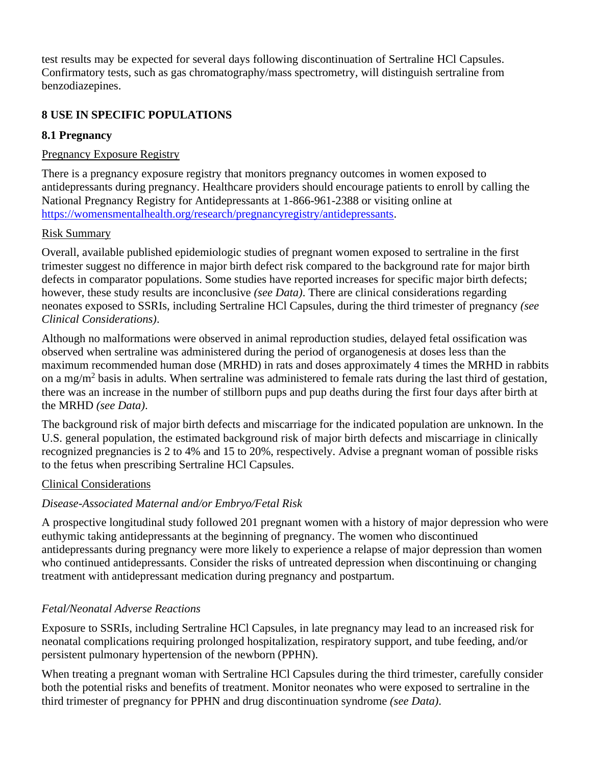test results may be expected for several days following discontinuation of Sertraline HCl Capsules. Confirmatory tests, such as gas chromatography/mass spectrometry, will distinguish sertraline from benzodiazepines.

# **8 USE IN SPECIFIC POPULATIONS**

## **8.1 Pregnancy**

# Pregnancy Exposure Registry

There is a pregnancy exposure registry that monitors pregnancy outcomes in women exposed to antidepressants during pregnancy. Healthcare providers should encourage patients to enroll by calling the National Pregnancy Registry for Antidepressants at 1-866-961-2388 or visiting online at [https://womensmentalhealth.org/research/pregnancyregistry/antidepressants.](https://womensmentalhealth.org/research/pregnancyregistry/antidepressants)

## Risk Summary

Overall, available published epidemiologic studies of pregnant women exposed to sertraline in the first trimester suggest no difference in major birth defect risk compared to the background rate for major birth defects in comparator populations. Some studies have reported increases for specific major birth defects; however, these study results are inconclusive *(see Data)*. There are clinical considerations regarding neonates exposed to SSRIs, including Sertraline HCl Capsules, during the third trimester of pregnancy *(see Clinical Considerations)*.

Although no malformations were observed in animal reproduction studies, delayed fetal ossification was observed when sertraline was administered during the period of organogenesis at doses less than the maximum recommended human dose (MRHD) in rats and doses approximately 4 times the MRHD in rabbits on a mg/m<sup>2</sup> basis in adults. When sertraline was administered to female rats during the last third of gestation, there was an increase in the number of stillborn pups and pup deaths during the first four days after birth at the MRHD *(see Data)*.

The background risk of major birth defects and miscarriage for the indicated population are unknown. In the U.S. general population, the estimated background risk of major birth defects and miscarriage in clinically recognized pregnancies is 2 to 4% and 15 to 20%, respectively. Advise a pregnant woman of possible risks to the fetus when prescribing Sertraline HCl Capsules.

### Clinical Considerations

# *Disease-Associated Maternal and/or Embryo/Fetal Risk*

A prospective longitudinal study followed 201 pregnant women with a history of major depression who were euthymic taking antidepressants at the beginning of pregnancy. The women who discontinued antidepressants during pregnancy were more likely to experience a relapse of major depression than women who continued antidepressants. Consider the risks of untreated depression when discontinuing or changing treatment with antidepressant medication during pregnancy and postpartum.

# *Fetal/Neonatal Adverse Reactions*

Exposure to SSRIs, including Sertraline HCl Capsules, in late pregnancy may lead to an increased risk for neonatal complications requiring prolonged hospitalization, respiratory support, and tube feeding, and/or persistent pulmonary hypertension of the newborn (PPHN).

When treating a pregnant woman with Sertraline HCl Capsules during the third trimester, carefully consider both the potential risks and benefits of treatment. Monitor neonates who were exposed to sertraline in the third trimester of pregnancy for PPHN and drug discontinuation syndrome *(see Data)*.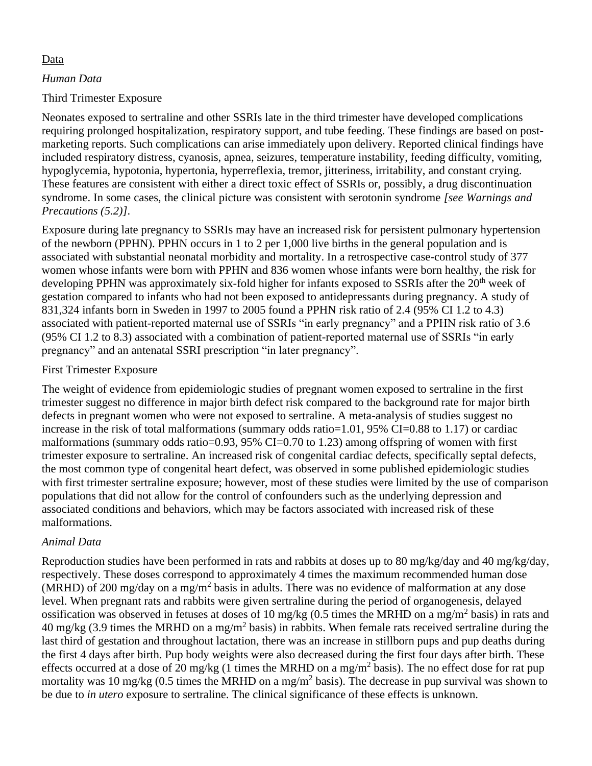### Data

### *Human Data*

## Third Trimester Exposure

Neonates exposed to sertraline and other SSRIs late in the third trimester have developed complications requiring prolonged hospitalization, respiratory support, and tube feeding. These findings are based on postmarketing reports. Such complications can arise immediately upon delivery. Reported clinical findings have included respiratory distress, cyanosis, apnea, seizures, temperature instability, feeding difficulty, vomiting, hypoglycemia, hypotonia, hypertonia, hyperreflexia, tremor, jitteriness, irritability, and constant crying. These features are consistent with either a direct toxic effect of SSRIs or, possibly, a drug discontinuation syndrome. In some cases, the clinical picture was consistent with serotonin syndrome *[see Warnings and Precautions (5.2)]*.

Exposure during late pregnancy to SSRIs may have an increased risk for persistent pulmonary hypertension of the newborn (PPHN). PPHN occurs in 1 to 2 per 1,000 live births in the general population and is associated with substantial neonatal morbidity and mortality. In a retrospective case-control study of 377 women whose infants were born with PPHN and 836 women whose infants were born healthy, the risk for developing PPHN was approximately six-fold higher for infants exposed to SSRIs after the 20<sup>th</sup> week of gestation compared to infants who had not been exposed to antidepressants during pregnancy. A study of 831,324 infants born in Sweden in 1997 to 2005 found a PPHN risk ratio of 2.4 (95% CI 1.2 to 4.3) associated with patient-reported maternal use of SSRIs "in early pregnancy" and a PPHN risk ratio of 3.6 (95% CI 1.2 to 8.3) associated with a combination of patient-reported maternal use of SSRIs "in early pregnancy" and an antenatal SSRI prescription "in later pregnancy".

## First Trimester Exposure

The weight of evidence from epidemiologic studies of pregnant women exposed to sertraline in the first trimester suggest no difference in major birth defect risk compared to the background rate for major birth defects in pregnant women who were not exposed to sertraline. A meta-analysis of studies suggest no increase in the risk of total malformations (summary odds ratio=1.01, 95% CI=0.88 to 1.17) or cardiac malformations (summary odds ratio=0.93, 95% CI=0.70 to 1.23) among offspring of women with first trimester exposure to sertraline. An increased risk of congenital cardiac defects, specifically septal defects, the most common type of congenital heart defect, was observed in some published epidemiologic studies with first trimester sertraline exposure; however, most of these studies were limited by the use of comparison populations that did not allow for the control of confounders such as the underlying depression and associated conditions and behaviors, which may be factors associated with increased risk of these malformations.

### *Animal Data*

Reproduction studies have been performed in rats and rabbits at doses up to 80 mg/kg/day and 40 mg/kg/day, respectively. These doses correspond to approximately 4 times the maximum recommended human dose (MRHD) of 200 mg/day on a mg/m<sup>2</sup> basis in adults. There was no evidence of malformation at any dose level. When pregnant rats and rabbits were given sertraline during the period of organogenesis, delayed ossification was observed in fetuses at doses of 10 mg/kg (0.5 times the MRHD on a mg/m<sup>2</sup> basis) in rats and 40 mg/kg (3.9 times the MRHD on a mg/m<sup>2</sup> basis) in rabbits. When female rats received sertraline during the last third of gestation and throughout lactation, there was an increase in stillborn pups and pup deaths during the first 4 days after birth. Pup body weights were also decreased during the first four days after birth. These effects occurred at a dose of 20 mg/kg (1 times the MRHD on a mg/m<sup>2</sup> basis). The no effect dose for rat pup mortality was 10 mg/kg (0.5 times the MRHD on a mg/m<sup>2</sup> basis). The decrease in pup survival was shown to be due to *in utero* exposure to sertraline. The clinical significance of these effects is unknown.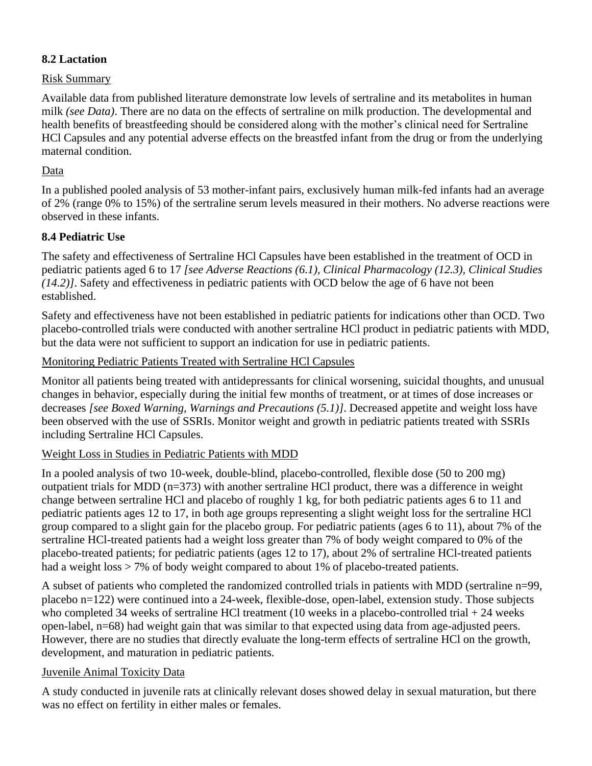## **8.2 Lactation**

### Risk Summary

Available data from published literature demonstrate low levels of sertraline and its metabolites in human milk *(see Data)*. There are no data on the effects of sertraline on milk production. The developmental and health benefits of breastfeeding should be considered along with the mother's clinical need for Sertraline HCl Capsules and any potential adverse effects on the breastfed infant from the drug or from the underlying maternal condition.

## Data

In a published pooled analysis of 53 mother-infant pairs, exclusively human milk-fed infants had an average of 2% (range 0% to 15%) of the sertraline serum levels measured in their mothers. No adverse reactions were observed in these infants.

## **8.4 Pediatric Use**

The safety and effectiveness of Sertraline HCl Capsules have been established in the treatment of OCD in pediatric patients aged 6 to 17 *[see Adverse Reactions (6.1), Clinical Pharmacology (12.3), Clinical Studies (14.2)]*. Safety and effectiveness in pediatric patients with OCD below the age of 6 have not been established.

Safety and effectiveness have not been established in pediatric patients for indications other than OCD. Two placebo-controlled trials were conducted with another sertraline HCl product in pediatric patients with MDD, but the data were not sufficient to support an indication for use in pediatric patients.

### Monitoring Pediatric Patients Treated with Sertraline HCl Capsules

Monitor all patients being treated with antidepressants for clinical worsening, suicidal thoughts, and unusual changes in behavior, especially during the initial few months of treatment, or at times of dose increases or decreases *[see Boxed Warning, Warnings and Precautions (5.1)]*. Decreased appetite and weight loss have been observed with the use of SSRIs. Monitor weight and growth in pediatric patients treated with SSRIs including Sertraline HCl Capsules.

### Weight Loss in Studies in Pediatric Patients with MDD

In a pooled analysis of two 10-week, double-blind, placebo-controlled, flexible dose (50 to 200 mg) outpatient trials for MDD (n=373) with another sertraline HCl product, there was a difference in weight change between sertraline HCl and placebo of roughly 1 kg, for both pediatric patients ages 6 to 11 and pediatric patients ages 12 to 17, in both age groups representing a slight weight loss for the sertraline HCl group compared to a slight gain for the placebo group. For pediatric patients (ages 6 to 11), about 7% of the sertraline HCl-treated patients had a weight loss greater than 7% of body weight compared to 0% of the placebo-treated patients; for pediatric patients (ages 12 to 17), about 2% of sertraline HCl-treated patients had a weight loss  $> 7\%$  of body weight compared to about 1% of placebo-treated patients.

A subset of patients who completed the randomized controlled trials in patients with MDD (sertraline n=99, placebo n=122) were continued into a 24-week, flexible-dose, open-label, extension study. Those subjects who completed 34 weeks of sertraline HCl treatment (10 weeks in a placebo-controlled trial + 24 weeks open-label, n=68) had weight gain that was similar to that expected using data from age-adjusted peers. However, there are no studies that directly evaluate the long-term effects of sertraline HCl on the growth, development, and maturation in pediatric patients.

### Juvenile Animal Toxicity Data

A study conducted in juvenile rats at clinically relevant doses showed delay in sexual maturation, but there was no effect on fertility in either males or females.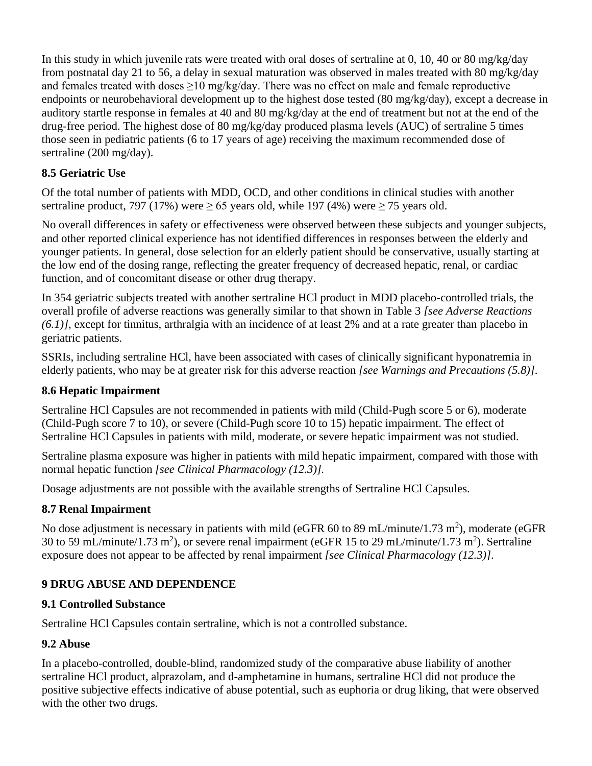In this study in which juvenile rats were treated with oral doses of sertraline at 0, 10, 40 or 80 mg/kg/day from postnatal day 21 to 56, a delay in sexual maturation was observed in males treated with 80 mg/kg/day and females treated with doses  $>10$  mg/kg/day. There was no effect on male and female reproductive endpoints or neurobehavioral development up to the highest dose tested (80 mg/kg/day), except a decrease in auditory startle response in females at 40 and 80 mg/kg/day at the end of treatment but not at the end of the drug-free period. The highest dose of 80 mg/kg/day produced plasma levels (AUC) of sertraline 5 times those seen in pediatric patients (6 to 17 years of age) receiving the maximum recommended dose of sertraline (200 mg/day).

# **8.5 Geriatric Use**

Of the total number of patients with MDD, OCD, and other conditions in clinical studies with another sertraline product, 797 (17%) were  $\geq 65$  years old, while 197 (4%) were  $\geq 75$  years old.

No overall differences in safety or effectiveness were observed between these subjects and younger subjects, and other reported clinical experience has not identified differences in responses between the elderly and younger patients. In general, dose selection for an elderly patient should be conservative, usually starting at the low end of the dosing range, reflecting the greater frequency of decreased hepatic, renal, or cardiac function, and of concomitant disease or other drug therapy.

In 354 geriatric subjects treated with another sertraline HCl product in MDD placebo-controlled trials, the overall profile of adverse reactions was generally similar to that shown in Table 3 *[see Adverse Reactions (6.1)]*, except for tinnitus, arthralgia with an incidence of at least 2% and at a rate greater than placebo in geriatric patients.

SSRIs, including sertraline HCl, have been associated with cases of clinically significant hyponatremia in elderly patients, who may be at greater risk for this adverse reaction *[see Warnings and Precautions (5.8)]*.

# **8.6 Hepatic Impairment**

Sertraline HCl Capsules are not recommended in patients with mild (Child-Pugh score 5 or 6), moderate (Child-Pugh score 7 to 10), or severe (Child-Pugh score 10 to 15) hepatic impairment. The effect of Sertraline HCl Capsules in patients with mild, moderate, or severe hepatic impairment was not studied.

Sertraline plasma exposure was higher in patients with mild hepatic impairment, compared with those with normal hepatic function *[see Clinical Pharmacology (12.3)].*

Dosage adjustments are not possible with the available strengths of Sertraline HCl Capsules.

# **8.7 Renal Impairment**

No dose adjustment is necessary in patients with mild (eGFR 60 to 89 mL/minute/1.73 m<sup>2</sup>), moderate (eGFR 30 to 59 mL/minute/1.73 m<sup>2</sup>), or severe renal impairment (eGFR 15 to 29 mL/minute/1.73 m<sup>2</sup>). Sertraline exposure does not appear to be affected by renal impairment *[see Clinical Pharmacology (12.3)]*.

# **9 DRUG ABUSE AND DEPENDENCE**

# **9.1 Controlled Substance**

Sertraline HCl Capsules contain sertraline, which is not a controlled substance.

# **9.2 Abuse**

In a placebo-controlled, double-blind, randomized study of the comparative abuse liability of another sertraline HCl product, alprazolam, and d-amphetamine in humans, sertraline HCl did not produce the positive subjective effects indicative of abuse potential, such as euphoria or drug liking, that were observed with the other two drugs.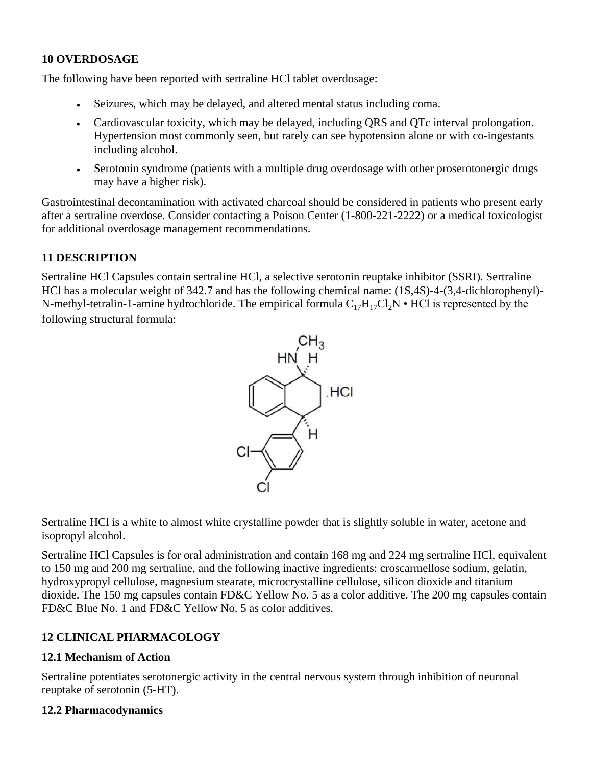## **10 OVERDOSAGE**

The following have been reported with sertraline HCl tablet overdosage:

- Seizures, which may be delayed, and altered mental status including coma.
- Cardiovascular toxicity, which may be delayed, including QRS and QTc interval prolongation. Hypertension most commonly seen, but rarely can see hypotension alone or with co-ingestants including alcohol.
- Serotonin syndrome (patients with a multiple drug overdosage with other proserotonergic drugs may have a higher risk).

Gastrointestinal decontamination with activated charcoal should be considered in patients who present early after a sertraline overdose. Consider contacting a Poison Center (1-800-221-2222) or a medical toxicologist for additional overdosage management recommendations.

## **11 DESCRIPTION**

Sertraline HCl Capsules contain sertraline HCl, a selective serotonin reuptake inhibitor (SSRI). Sertraline HCl has a molecular weight of 342.7 and has the following chemical name: (1S,4S)-4-(3,4-dichlorophenyl)- N-methyl-tetralin-1-amine hydrochloride. The empirical formula  $C_{17}H_{17}Cl_2N \cdot HCl$  is represented by the following structural formula:



Sertraline HCl is a white to almost white crystalline powder that is slightly soluble in water, acetone and isopropyl alcohol.

Sertraline HCl Capsules is for oral administration and contain 168 mg and 224 mg sertraline HCl, equivalent to 150 mg and 200 mg sertraline, and the following inactive ingredients: croscarmellose sodium, gelatin, hydroxypropyl cellulose, magnesium stearate, microcrystalline cellulose, silicon dioxide and titanium dioxide. The 150 mg capsules contain FD&C Yellow No. 5 as a color additive. The 200 mg capsules contain FD&C Blue No. 1 and FD&C Yellow No. 5 as color additives.

# **12 CLINICAL PHARMACOLOGY**

### **12.1 Mechanism of Action**

Sertraline potentiates serotonergic activity in the central nervous system through inhibition of neuronal reuptake of serotonin (5-HT).

### **12.2 Pharmacodynamics**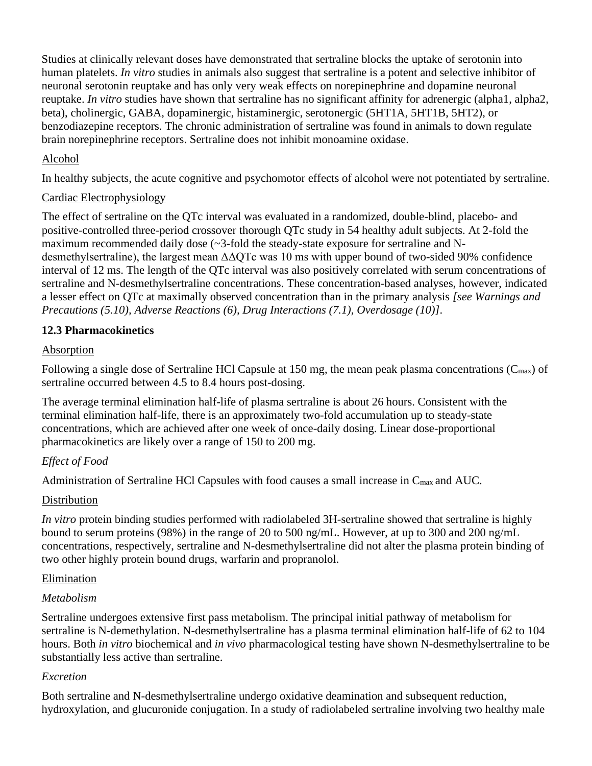Studies at clinically relevant doses have demonstrated that sertraline blocks the uptake of serotonin into human platelets. *In vitro* studies in animals also suggest that sertraline is a potent and selective inhibitor of neuronal serotonin reuptake and has only very weak effects on norepinephrine and dopamine neuronal reuptake. *In vitro* studies have shown that sertraline has no significant affinity for adrenergic (alpha1, alpha2, beta), cholinergic, GABA, dopaminergic, histaminergic, serotonergic (5HT1A, 5HT1B, 5HT2), or benzodiazepine receptors. The chronic administration of sertraline was found in animals to down regulate brain norepinephrine receptors. Sertraline does not inhibit monoamine oxidase.

## Alcohol

In healthy subjects, the acute cognitive and psychomotor effects of alcohol were not potentiated by sertraline.

### Cardiac Electrophysiology

The effect of sertraline on the QTc interval was evaluated in a randomized, double-blind, placebo- and positive-controlled three-period crossover thorough QTc study in 54 healthy adult subjects. At 2-fold the maximum recommended daily dose (~3-fold the steady-state exposure for sertraline and Ndesmethylsertraline), the largest mean ΔΔQTc was 10 ms with upper bound of two-sided 90% confidence interval of 12 ms. The length of the QTc interval was also positively correlated with serum concentrations of sertraline and N-desmethylsertraline concentrations. These concentration-based analyses, however, indicated a lesser effect on QTc at maximally observed concentration than in the primary analysis *[see Warnings and Precautions (5.10), Adverse Reactions (6), Drug Interactions (7.1), Overdosage (10)]*.

## **12.3 Pharmacokinetics**

### Absorption

Following a single dose of Sertraline HCl Capsule at 150 mg, the mean peak plasma concentrations ( $C_{\text{max}}$ ) of sertraline occurred between 4.5 to 8.4 hours post-dosing.

The average terminal elimination half-life of plasma sertraline is about 26 hours. Consistent with the terminal elimination half-life, there is an approximately two-fold accumulation up to steady-state concentrations, which are achieved after one week of once-daily dosing. Linear dose-proportional pharmacokinetics are likely over a range of 150 to 200 mg.

# *Effect of Food*

Administration of Sertraline HCl Capsules with food causes a small increase in Cmax and AUC.

### **Distribution**

*In vitro* protein binding studies performed with radiolabeled 3H-sertraline showed that sertraline is highly bound to serum proteins (98%) in the range of 20 to 500 ng/mL. However, at up to 300 and 200 ng/mL concentrations, respectively, sertraline and N-desmethylsertraline did not alter the plasma protein binding of two other highly protein bound drugs, warfarin and propranolol.

### Elimination

### *Metabolism*

Sertraline undergoes extensive first pass metabolism. The principal initial pathway of metabolism for sertraline is N-demethylation. N-desmethylsertraline has a plasma terminal elimination half-life of 62 to 104 hours. Both *in vitro* biochemical and *in vivo* pharmacological testing have shown N-desmethylsertraline to be substantially less active than sertraline.

### *Excretion*

Both sertraline and N-desmethylsertraline undergo oxidative deamination and subsequent reduction, hydroxylation, and glucuronide conjugation. In a study of radiolabeled sertraline involving two healthy male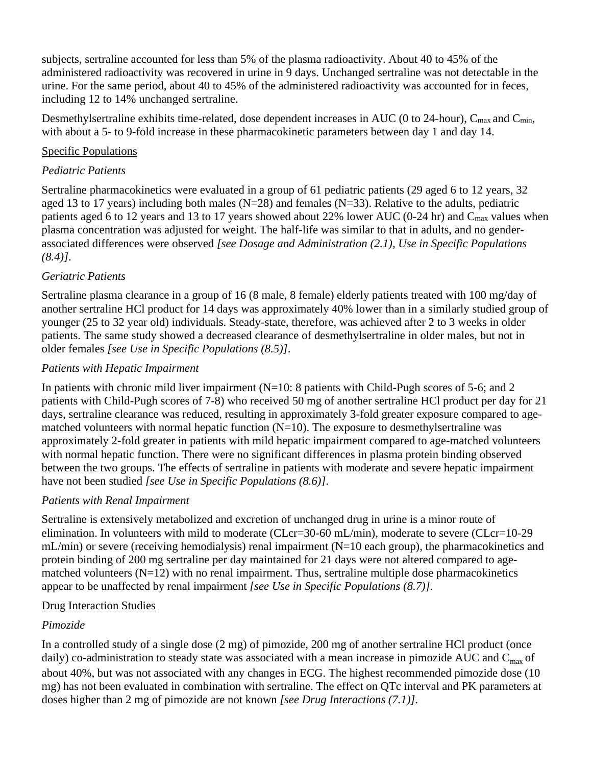subjects, sertraline accounted for less than 5% of the plasma radioactivity. About 40 to 45% of the administered radioactivity was recovered in urine in 9 days. Unchanged sertraline was not detectable in the urine. For the same period, about 40 to 45% of the administered radioactivity was accounted for in feces, including 12 to 14% unchanged sertraline.

Desmethylsertraline exhibits time-related, dose dependent increases in AUC (0 to 24-hour),  $C_{\text{max}}$  and  $C_{\text{min}}$ , with about a 5- to 9-fold increase in these pharmacokinetic parameters between day 1 and day 14.

## Specific Populations

## *Pediatric Patients*

Sertraline pharmacokinetics were evaluated in a group of 61 pediatric patients (29 aged 6 to 12 years, 32 aged 13 to 17 years) including both males ( $N=28$ ) and females ( $N=33$ ). Relative to the adults, pediatric patients aged 6 to 12 years and 13 to 17 years showed about 22% lower AUC (0-24 hr) and C<sub>max</sub> values when plasma concentration was adjusted for weight. The half-life was similar to that in adults, and no genderassociated differences were observed *[see Dosage and Administration (2.1), Use in Specific Populations (8.4)]*.

# *Geriatric Patients*

Sertraline plasma clearance in a group of 16 (8 male, 8 female) elderly patients treated with 100 mg/day of another sertraline HCl product for 14 days was approximately 40% lower than in a similarly studied group of younger (25 to 32 year old) individuals. Steady-state, therefore, was achieved after 2 to 3 weeks in older patients. The same study showed a decreased clearance of desmethylsertraline in older males, but not in older females *[see Use in Specific Populations (8.5)]*.

## *Patients with Hepatic Impairment*

In patients with chronic mild liver impairment ( $N=10$ : 8 patients with Child-Pugh scores of 5-6; and 2 patients with Child-Pugh scores of 7-8) who received 50 mg of another sertraline HCl product per day for 21 days, sertraline clearance was reduced, resulting in approximately 3-fold greater exposure compared to agematched volunteers with normal hepatic function  $(N=10)$ . The exposure to desmethylsertraline was approximately 2-fold greater in patients with mild hepatic impairment compared to age-matched volunteers with normal hepatic function. There were no significant differences in plasma protein binding observed between the two groups. The effects of sertraline in patients with moderate and severe hepatic impairment have not been studied *[see Use in Specific Populations (8.6)]*.

### *Patients with Renal Impairment*

Sertraline is extensively metabolized and excretion of unchanged drug in urine is a minor route of elimination. In volunteers with mild to moderate (CLcr=30-60 mL/min), moderate to severe (CLcr=10-29 mL/min) or severe (receiving hemodialysis) renal impairment (N=10 each group), the pharmacokinetics and protein binding of 200 mg sertraline per day maintained for 21 days were not altered compared to agematched volunteers  $(N=12)$  with no renal impairment. Thus, sertraline multiple dose pharmacokinetics appear to be unaffected by renal impairment *[see Use in Specific Populations (8.7)]*.

### Drug Interaction Studies

# *Pimozide*

In a controlled study of a single dose (2 mg) of pimozide, 200 mg of another sertraline HCl product (once daily) co-administration to steady state was associated with a mean increase in pimozide AUC and  $C_{max}$  of about 40%, but was not associated with any changes in ECG. The highest recommended pimozide dose (10 mg) has not been evaluated in combination with sertraline. The effect on QTc interval and PK parameters at doses higher than 2 mg of pimozide are not known *[see Drug Interactions (7.1)]*.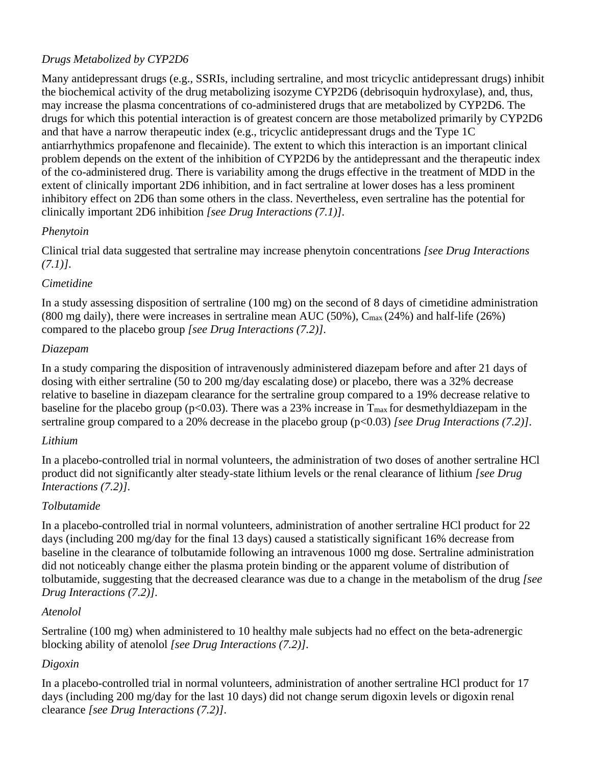# *Drugs Metabolized by CYP2D6*

Many antidepressant drugs (e.g., SSRIs, including sertraline, and most tricyclic antidepressant drugs) inhibit the biochemical activity of the drug metabolizing isozyme CYP2D6 (debrisoquin hydroxylase), and, thus, may increase the plasma concentrations of co-administered drugs that are metabolized by CYP2D6. The drugs for which this potential interaction is of greatest concern are those metabolized primarily by CYP2D6 and that have a narrow therapeutic index (e.g., tricyclic antidepressant drugs and the Type 1C antiarrhythmics propafenone and flecainide). The extent to which this interaction is an important clinical problem depends on the extent of the inhibition of CYP2D6 by the antidepressant and the therapeutic index of the co-administered drug. There is variability among the drugs effective in the treatment of MDD in the extent of clinically important 2D6 inhibition, and in fact sertraline at lower doses has a less prominent inhibitory effect on 2D6 than some others in the class. Nevertheless, even sertraline has the potential for clinically important 2D6 inhibition *[see Drug Interactions (7.1)]*.

## *Phenytoin*

Clinical trial data suggested that sertraline may increase phenytoin concentrations *[see Drug Interactions (7.1)]*.

## *Cimetidine*

In a study assessing disposition of sertraline (100 mg) on the second of 8 days of cimetidine administration (800 mg daily), there were increases in sertraline mean AUC (50%),  $C_{\text{max}}(24\%)$  and half-life (26%) compared to the placebo group *[see Drug Interactions (7.2)]*.

## *Diazepam*

In a study comparing the disposition of intravenously administered diazepam before and after 21 days of dosing with either sertraline (50 to 200 mg/day escalating dose) or placebo, there was a 32% decrease relative to baseline in diazepam clearance for the sertraline group compared to a 19% decrease relative to baseline for the placebo group ( $p<0.03$ ). There was a 23% increase in  $T_{\text{max}}$  for desmethyldiazepam in the sertraline group compared to a 20% decrease in the placebo group (p<0.03) *[see Drug Interactions (7.2)]*.

# *Lithium*

In a placebo-controlled trial in normal volunteers, the administration of two doses of another sertraline HCl product did not significantly alter steady-state lithium levels or the renal clearance of lithium *[see Drug Interactions (7.2)]*.

# *Tolbutamide*

In a placebo-controlled trial in normal volunteers, administration of another sertraline HCl product for 22 days (including 200 mg/day for the final 13 days) caused a statistically significant 16% decrease from baseline in the clearance of tolbutamide following an intravenous 1000 mg dose. Sertraline administration did not noticeably change either the plasma protein binding or the apparent volume of distribution of tolbutamide, suggesting that the decreased clearance was due to a change in the metabolism of the drug *[see Drug Interactions (7.2)]*.

# *Atenolol*

Sertraline (100 mg) when administered to 10 healthy male subjects had no effect on the beta-adrenergic blocking ability of atenolol *[see Drug Interactions (7.2)]*.

# *Digoxin*

In a placebo-controlled trial in normal volunteers, administration of another sertraline HCl product for 17 days (including 200 mg/day for the last 10 days) did not change serum digoxin levels or digoxin renal clearance *[see Drug Interactions (7.2)]*.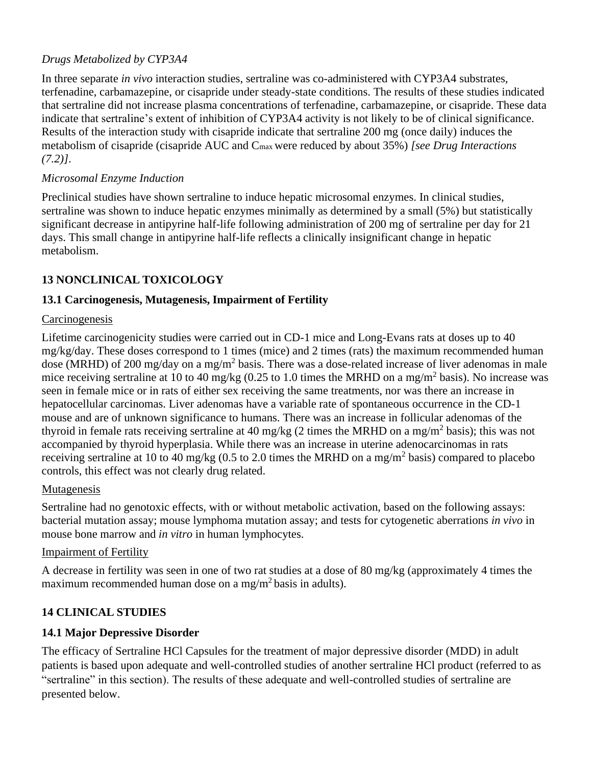# *Drugs Metabolized by CYP3A4*

In three separate *in vivo* interaction studies, sertraline was co-administered with CYP3A4 substrates, terfenadine, carbamazepine, or cisapride under steady-state conditions. The results of these studies indicated that sertraline did not increase plasma concentrations of terfenadine, carbamazepine, or cisapride. These data indicate that sertraline's extent of inhibition of CYP3A4 activity is not likely to be of clinical significance. Results of the interaction study with cisapride indicate that sertraline 200 mg (once daily) induces the metabolism of cisapride (cisapride AUC and Cmax were reduced by about 35%) *[see Drug Interactions (7.2)]*.

## *Microsomal Enzyme Induction*

Preclinical studies have shown sertraline to induce hepatic microsomal enzymes. In clinical studies, sertraline was shown to induce hepatic enzymes minimally as determined by a small (5%) but statistically significant decrease in antipyrine half-life following administration of 200 mg of sertraline per day for 21 days. This small change in antipyrine half-life reflects a clinically insignificant change in hepatic metabolism.

# **13 NONCLINICAL TOXICOLOGY**

## **13.1 Carcinogenesis, Mutagenesis, Impairment of Fertility**

#### Carcinogenesis

Lifetime carcinogenicity studies were carried out in CD-1 mice and Long-Evans rats at doses up to 40 mg/kg/day. These doses correspond to 1 times (mice) and 2 times (rats) the maximum recommended human dose (MRHD) of 200 mg/day on a mg/m<sup>2</sup> basis. There was a dose-related increase of liver adenomas in male mice receiving sertraline at 10 to 40 mg/kg (0.25 to 1.0 times the MRHD on a mg/m<sup>2</sup> basis). No increase was seen in female mice or in rats of either sex receiving the same treatments, nor was there an increase in hepatocellular carcinomas. Liver adenomas have a variable rate of spontaneous occurrence in the CD-1 mouse and are of unknown significance to humans. There was an increase in follicular adenomas of the thyroid in female rats receiving sertraline at 40 mg/kg (2 times the MRHD on a mg/m<sup>2</sup> basis); this was not accompanied by thyroid hyperplasia. While there was an increase in uterine adenocarcinomas in rats receiving sertraline at 10 to 40 mg/kg (0.5 to 2.0 times the MRHD on a mg/m<sup>2</sup> basis) compared to placebo controls, this effect was not clearly drug related.

### Mutagenesis

Sertraline had no genotoxic effects, with or without metabolic activation, based on the following assays: bacterial mutation assay; mouse lymphoma mutation assay; and tests for cytogenetic aberrations *in vivo* in mouse bone marrow and *in vitro* in human lymphocytes.

### Impairment of Fertility

A decrease in fertility was seen in one of two rat studies at a dose of 80 mg/kg (approximately 4 times the maximum recommended human dose on a mg/m<sup>2</sup> basis in adults).

# **14 CLINICAL STUDIES**

### **14.1 Major Depressive Disorder**

The efficacy of Sertraline HCl Capsules for the treatment of major depressive disorder (MDD) in adult patients is based upon adequate and well-controlled studies of another sertraline HCl product (referred to as "sertraline" in this section). The results of these adequate and well-controlled studies of sertraline are presented below.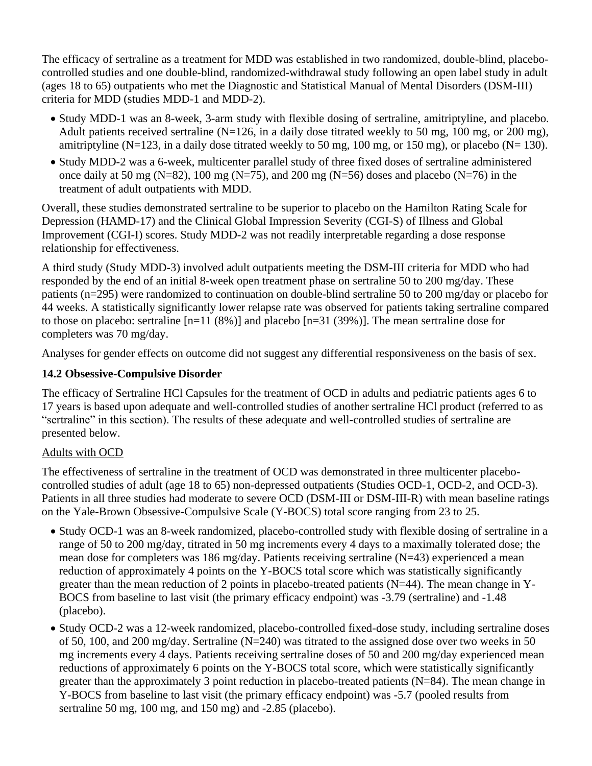The efficacy of sertraline as a treatment for MDD was established in two randomized, double-blind, placebocontrolled studies and one double-blind, randomized-withdrawal study following an open label study in adult (ages 18 to 65) outpatients who met the Diagnostic and Statistical Manual of Mental Disorders (DSM-III) criteria for MDD (studies MDD-1 and MDD-2).

- Study MDD-1 was an 8-week, 3-arm study with flexible dosing of sertraline, amitriptyline, and placebo. Adult patients received sertraline (N=126, in a daily dose titrated weekly to 50 mg, 100 mg, or 200 mg), amitriptyline (N=123, in a daily dose titrated weekly to 50 mg, 100 mg, or 150 mg), or placebo (N= 130).
- Study MDD-2 was a 6-week, multicenter parallel study of three fixed doses of sertraline administered once daily at 50 mg (N=82), 100 mg (N=75), and 200 mg (N=56) doses and placebo (N=76) in the treatment of adult outpatients with MDD.

Overall, these studies demonstrated sertraline to be superior to placebo on the Hamilton Rating Scale for Depression (HAMD-17) and the Clinical Global Impression Severity (CGI-S) of Illness and Global Improvement (CGI-I) scores. Study MDD-2 was not readily interpretable regarding a dose response relationship for effectiveness.

A third study (Study MDD-3) involved adult outpatients meeting the DSM-III criteria for MDD who had responded by the end of an initial 8-week open treatment phase on sertraline 50 to 200 mg/day. These patients (n=295) were randomized to continuation on double-blind sertraline 50 to 200 mg/day or placebo for 44 weeks. A statistically significantly lower relapse rate was observed for patients taking sertraline compared to those on placebo: sertraline [n=11 (8%)] and placebo [n=31 (39%)]. The mean sertraline dose for completers was 70 mg/day.

Analyses for gender effects on outcome did not suggest any differential responsiveness on the basis of sex.

# **14.2 Obsessive-Compulsive Disorder**

The efficacy of Sertraline HCl Capsules for the treatment of OCD in adults and pediatric patients ages 6 to 17 years is based upon adequate and well-controlled studies of another sertraline HCl product (referred to as "sertraline" in this section). The results of these adequate and well-controlled studies of sertraline are presented below.

### Adults with OCD

The effectiveness of sertraline in the treatment of OCD was demonstrated in three multicenter placebocontrolled studies of adult (age 18 to 65) non-depressed outpatients (Studies OCD-1, OCD-2, and OCD-3). Patients in all three studies had moderate to severe OCD (DSM-III or DSM-III-R) with mean baseline ratings on the Yale-Brown Obsessive-Compulsive Scale (Y-BOCS) total score ranging from 23 to 25.

- Study OCD-1 was an 8-week randomized, placebo-controlled study with flexible dosing of sertraline in a range of 50 to 200 mg/day, titrated in 50 mg increments every 4 days to a maximally tolerated dose; the mean dose for completers was 186 mg/day. Patients receiving sertraline (N=43) experienced a mean reduction of approximately 4 points on the Y-BOCS total score which was statistically significantly greater than the mean reduction of 2 points in placebo-treated patients (N=44). The mean change in Y-BOCS from baseline to last visit (the primary efficacy endpoint) was -3.79 (sertraline) and -1.48 (placebo).
- Study OCD-2 was a 12-week randomized, placebo-controlled fixed-dose study, including sertraline doses of 50, 100, and 200 mg/day. Sertraline (N=240) was titrated to the assigned dose over two weeks in 50 mg increments every 4 days. Patients receiving sertraline doses of 50 and 200 mg/day experienced mean reductions of approximately 6 points on the Y-BOCS total score, which were statistically significantly greater than the approximately 3 point reduction in placebo-treated patients (N=84). The mean change in Y-BOCS from baseline to last visit (the primary efficacy endpoint) was -5.7 (pooled results from sertraline 50 mg, 100 mg, and 150 mg) and -2.85 (placebo).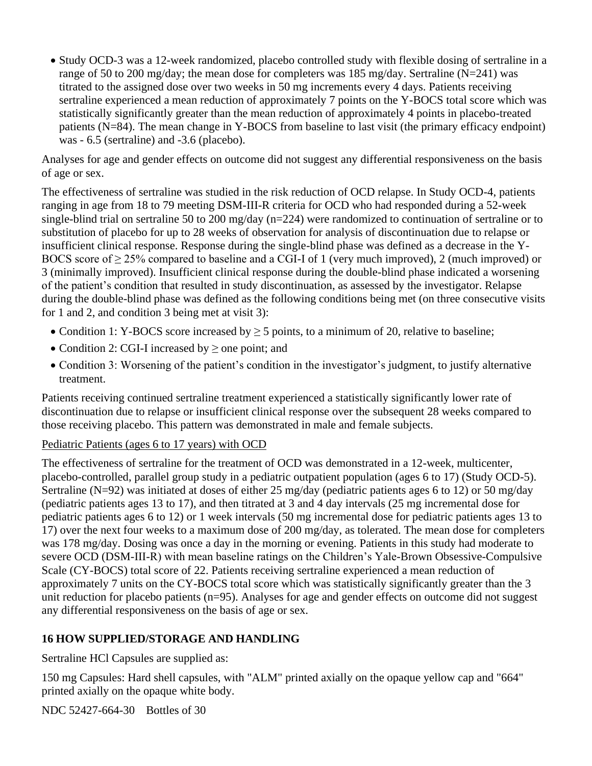• Study OCD-3 was a 12-week randomized, placebo controlled study with flexible dosing of sertraline in a range of 50 to 200 mg/day; the mean dose for completers was 185 mg/day. Sertraline ( $N=241$ ) was titrated to the assigned dose over two weeks in 50 mg increments every 4 days. Patients receiving sertraline experienced a mean reduction of approximately 7 points on the Y-BOCS total score which was statistically significantly greater than the mean reduction of approximately 4 points in placebo-treated patients (N=84). The mean change in Y-BOCS from baseline to last visit (the primary efficacy endpoint) was - 6.5 (sertraline) and -3.6 (placebo).

Analyses for age and gender effects on outcome did not suggest any differential responsiveness on the basis of age or sex.

The effectiveness of sertraline was studied in the risk reduction of OCD relapse. In Study OCD-4, patients ranging in age from 18 to 79 meeting DSM-III-R criteria for OCD who had responded during a 52-week single-blind trial on sertraline 50 to 200 mg/day (n=224) were randomized to continuation of sertraline or to substitution of placebo for up to 28 weeks of observation for analysis of discontinuation due to relapse or insufficient clinical response. Response during the single-blind phase was defined as a decrease in the Y-BOCS score of  $\geq$  25% compared to baseline and a CGI-I of 1 (very much improved), 2 (much improved) or 3 (minimally improved). Insufficient clinical response during the double-blind phase indicated a worsening of the patient's condition that resulted in study discontinuation, as assessed by the investigator. Relapse during the double-blind phase was defined as the following conditions being met (on three consecutive visits for 1 and 2, and condition 3 being met at visit 3):

- Condition 1: Y-BOCS score increased by  $\geq$  5 points, to a minimum of 20, relative to baseline;
- Condition 2: CGI-I increased by  $\geq$  one point; and
- Condition 3: Worsening of the patient's condition in the investigator's judgment, to justify alternative treatment.

Patients receiving continued sertraline treatment experienced a statistically significantly lower rate of discontinuation due to relapse or insufficient clinical response over the subsequent 28 weeks compared to those receiving placebo. This pattern was demonstrated in male and female subjects.

### Pediatric Patients (ages 6 to 17 years) with OCD

The effectiveness of sertraline for the treatment of OCD was demonstrated in a 12-week, multicenter, placebo-controlled, parallel group study in a pediatric outpatient population (ages 6 to 17) (Study OCD-5). Sertraline (N=92) was initiated at doses of either 25 mg/day (pediatric patients ages 6 to 12) or 50 mg/day (pediatric patients ages 13 to 17), and then titrated at 3 and 4 day intervals (25 mg incremental dose for pediatric patients ages 6 to 12) or 1 week intervals (50 mg incremental dose for pediatric patients ages 13 to 17) over the next four weeks to a maximum dose of 200 mg/day, as tolerated. The mean dose for completers was 178 mg/day. Dosing was once a day in the morning or evening. Patients in this study had moderate to severe OCD (DSM-III-R) with mean baseline ratings on the Children's Yale-Brown Obsessive-Compulsive Scale (CY-BOCS) total score of 22. Patients receiving sertraline experienced a mean reduction of approximately 7 units on the CY-BOCS total score which was statistically significantly greater than the 3 unit reduction for placebo patients (n=95). Analyses for age and gender effects on outcome did not suggest any differential responsiveness on the basis of age or sex.

### **16 HOW SUPPLIED/STORAGE AND HANDLING**

Sertraline HCl Capsules are supplied as:

150 mg Capsules: Hard shell capsules, with "ALM" printed axially on the opaque yellow cap and "664" printed axially on the opaque white body.

NDC 52427-664-30 Bottles of 30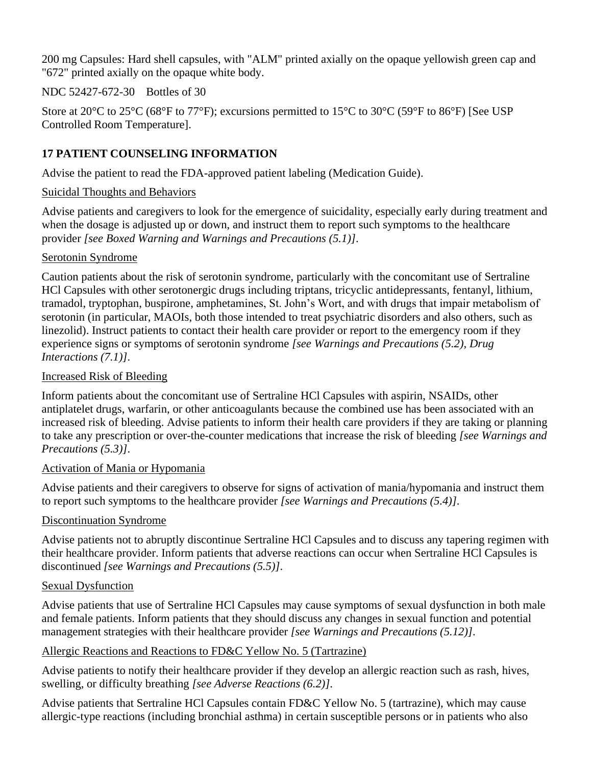200 mg Capsules: Hard shell capsules, with "ALM" printed axially on the opaque yellowish green cap and "672" printed axially on the opaque white body.

NDC 52427-672-30 Bottles of 30

Store at 20°C to 25°C (68°F to 77°F); excursions permitted to 15°C to 30°C (59°F to 86°F) [See USP Controlled Room Temperature].

# **17 PATIENT COUNSELING INFORMATION**

Advise the patient to read the FDA-approved patient labeling (Medication Guide).

## Suicidal Thoughts and Behaviors

Advise patients and caregivers to look for the emergence of suicidality, especially early during treatment and when the dosage is adjusted up or down, and instruct them to report such symptoms to the healthcare provider *[see Boxed Warning and Warnings and Precautions (5.1)]*.

## Serotonin Syndrome

Caution patients about the risk of serotonin syndrome, particularly with the concomitant use of Sertraline HCl Capsules with other serotonergic drugs including triptans, tricyclic antidepressants, fentanyl, lithium, tramadol, tryptophan, buspirone, amphetamines, St. John's Wort, and with drugs that impair metabolism of serotonin (in particular, MAOIs, both those intended to treat psychiatric disorders and also others, such as linezolid). Instruct patients to contact their health care provider or report to the emergency room if they experience signs or symptoms of serotonin syndrome *[see Warnings and Precautions (5.2), Drug Interactions (7.1)]*.

## Increased Risk of Bleeding

Inform patients about the concomitant use of Sertraline HCl Capsules with aspirin, NSAIDs, other antiplatelet drugs, warfarin, or other anticoagulants because the combined use has been associated with an increased risk of bleeding. Advise patients to inform their health care providers if they are taking or planning to take any prescription or over-the-counter medications that increase the risk of bleeding *[see Warnings and Precautions (5.3)]*.

### Activation of Mania or Hypomania

Advise patients and their caregivers to observe for signs of activation of mania/hypomania and instruct them to report such symptoms to the healthcare provider *[see Warnings and Precautions (5.4)]*.

# Discontinuation Syndrome

Advise patients not to abruptly discontinue Sertraline HCl Capsules and to discuss any tapering regimen with their healthcare provider. Inform patients that adverse reactions can occur when Sertraline HCl Capsules is discontinued *[see Warnings and Precautions (5.5)]*.

### Sexual Dysfunction

Advise patients that use of Sertraline HCl Capsules may cause symptoms of sexual dysfunction in both male and female patients. Inform patients that they should discuss any changes in sexual function and potential management strategies with their healthcare provider *[see Warnings and Precautions (5.12)]*.

# Allergic Reactions and Reactions to FD&C Yellow No. 5 (Tartrazine)

Advise patients to notify their healthcare provider if they develop an allergic reaction such as rash, hives, swelling, or difficulty breathing *[see Adverse Reactions (6.2)]*.

Advise patients that Sertraline HCl Capsules contain FD&C Yellow No. 5 (tartrazine), which may cause allergic-type reactions (including bronchial asthma) in certain susceptible persons or in patients who also